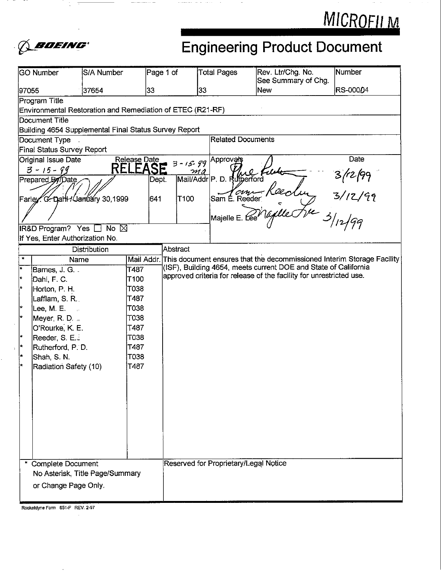



# **Engineering Product Document Engineering Product Document**

|              | GO Number                                                  | S/A Number     |                  | Page 1 of |                  | <b>Total Pages</b>                    | Rev. Ltr/Chg. No.<br>See Summary of Chg.                                          | Number                                                      |
|--------------|------------------------------------------------------------|----------------|------------------|-----------|------------------|---------------------------------------|-----------------------------------------------------------------------------------|-------------------------------------------------------------|
| 97055        |                                                            | 37654          | 33               |           | 33               |                                       | <b>New</b>                                                                        | RS-00004                                                    |
|              | Program Title                                              |                |                  |           |                  |                                       |                                                                                   |                                                             |
|              | Environmental Restoration and Remediation of ETEC (R21-RF) |                |                  |           |                  |                                       |                                                                                   |                                                             |
|              | Document Title                                             |                |                  |           |                  |                                       |                                                                                   |                                                             |
|              | Building 4654 Supplemental Final Status Survey Report      |                |                  |           |                  |                                       |                                                                                   |                                                             |
|              | Document Type                                              |                |                  |           |                  | <b>Related Documents</b>              |                                                                                   |                                                             |
|              | Final Status Survey Report                                 |                |                  |           |                  |                                       |                                                                                   |                                                             |
|              | Original Issue Date                                        |                | Release Date     |           | $3 - 15 - 99$    | Approv <u>at</u> s                    |                                                                                   | Date                                                        |
|              | $3 - 15 - 99$                                              | REI            |                  | SE        | mo               |                                       |                                                                                   |                                                             |
|              | Prepared By Date                                           |                |                  | Dept.     |                  | Mail/Addr P. D. Rutherford            |                                                                                   | $\frac{1}{\pi}$ 3/12/99<br>$\frac{3}{12}$<br>$\frac{3}{12}$ |
|              | Farley C. Dahl+/January 30,1999                            |                |                  | 641       | T <sub>100</sub> | Sam E. Reeder                         |                                                                                   |                                                             |
|              |                                                            |                |                  |           |                  | Majelle E.                            |                                                                                   |                                                             |
|              | IR&D Program? Yes                                          | No $\boxtimes$ |                  |           |                  |                                       |                                                                                   |                                                             |
|              | If Yes, Enter Authorization No.                            |                |                  |           |                  |                                       |                                                                                   |                                                             |
|              |                                                            | Distribution   |                  |           | Abstract         |                                       |                                                                                   |                                                             |
| $\mathbf{r}$ | Name                                                       |                |                  |           |                  |                                       | Mail Addr. This document ensures that the decommissioned Interim Storage Facility |                                                             |
| $\star$      | Barnes, J. G.                                              |                | T487             |           |                  |                                       | (ISF), Building 4654, meets current DOE and State of California                   |                                                             |
| $\star$      | Dahl, F. C.                                                |                | T <sub>100</sub> |           |                  |                                       | approved criteria for release of the facility for unrestricted use.               |                                                             |
| l kr         | Horton, P. H.                                              |                | T038             |           |                  |                                       |                                                                                   |                                                             |
|              | Lafflam, S. R.                                             |                | T487             |           |                  |                                       |                                                                                   |                                                             |
| l *          | Lee, M. E.                                                 |                | T038             |           |                  |                                       |                                                                                   |                                                             |
| ۱÷           | Meyer, R. D. $=$                                           |                | T038             |           |                  |                                       |                                                                                   |                                                             |
|              | O'Rourke, K. E.                                            |                | T487             |           |                  |                                       |                                                                                   |                                                             |
| l tr         | Reeder, S. E.                                              |                | T038             |           |                  |                                       |                                                                                   |                                                             |
| k            | Rutherford, P. D.                                          |                | T487             |           |                  |                                       |                                                                                   |                                                             |
| ÷            | Shah, S. N.                                                |                | T038             |           |                  |                                       |                                                                                   |                                                             |
|              | Radiation Safety (10)                                      |                | T487             |           |                  |                                       |                                                                                   |                                                             |
|              |                                                            |                |                  |           |                  |                                       |                                                                                   |                                                             |
|              |                                                            |                |                  |           |                  |                                       |                                                                                   |                                                             |
|              |                                                            |                |                  |           |                  |                                       |                                                                                   |                                                             |
|              |                                                            |                |                  |           |                  |                                       |                                                                                   |                                                             |
|              |                                                            |                |                  |           |                  |                                       |                                                                                   |                                                             |
|              |                                                            |                |                  |           |                  |                                       |                                                                                   |                                                             |
|              |                                                            |                |                  |           |                  |                                       |                                                                                   |                                                             |
|              |                                                            |                |                  |           |                  |                                       |                                                                                   |                                                             |
|              |                                                            |                |                  |           |                  |                                       |                                                                                   |                                                             |
|              | <b>Complete Document</b>                                   |                |                  |           |                  | Reserved for Proprietary/Legal Notice |                                                                                   |                                                             |
|              | No Asterisk, Title Page/Summary                            |                |                  |           |                  |                                       |                                                                                   |                                                             |
|              | or Change Page Only.                                       |                |                  |           |                  |                                       |                                                                                   |                                                             |
|              |                                                            |                |                  |           |                  |                                       |                                                                                   |                                                             |

**mkeldyne Fom 651-F REV. 2-97**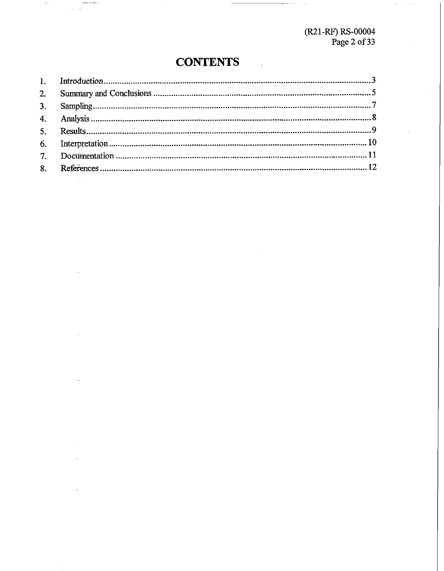(R21-RF) RS-00004<br>Page 2 of 33

### **CONTENTS**

 $\sim$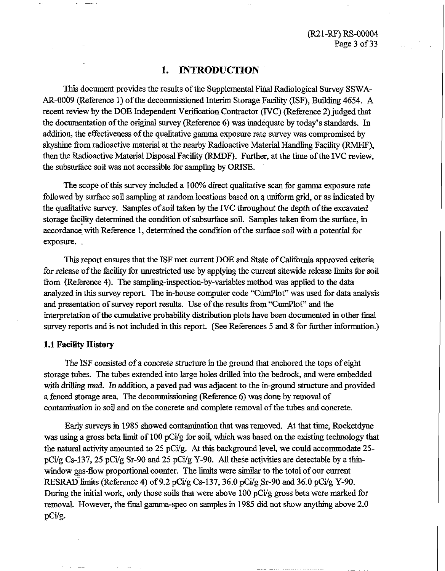#### **1. INTRODUCTION**

This document provides the results of the Supplemental Final Radiological Survey SSWA-AR-0009 (Reference 1) of the decommissioned Interim Storage Facility (TSF), Building 4654. A recent review by the DOE Independent Veritication Contractor (IVC) (Reference 2) judged that the documentation of the original survey (Reference 6) was inadequate by today's standards. In addition, the effectiveness of the qualitative gamma exposure rate survey was compromised by skyshine from radioactive material at the nearby Radioactive Material Handling Facility (RMHF), then the Radioactive Material Disposal Facility (RMDF). Further, at the time of the IVC review, **the** subsurface soil was not accessible for sampling by ORISE.

The scope of **this** survey included a 100% direct qualitative scan for gamma exposure mte followed by surface soil sampling at random locations based on a uniform grid, or as indicated by the qualitative survey. Samples of soil taken by the IVC throughout the depth of the excavated storage facility determined the condition of subsurface soil. Samples taken fiom the surface, in accordance with Reference 1, determined the condition of the surface soil with a potential for exposure.

This report ensures that the ISF met current DOE and State of California approved criteria for release of the facility for unrestricted use by applying the current sitewide release **limits** for soil fiom (Reference 4). The sampling-inspection-by-variables method was applied to the data analyzed in this survey report. The in-house computer code "CumPlot" was used for data **analysis**  and presentation of survey report results. **Use** of the results fiom "CumPlot" and the interpretation of the cumulative probability distribution plots have been documented in other final survey reports and is not included in this report. (See References 5 and 8 for finther information.)

#### **1.1 Facility History**

The ISF consisted of a concrete structure in the ground that anchored the tops of eight storage tubes. The tubes extended into large holes drilled into the bedrock, and were embedded with drilling mud. In addition, a paved pad was adjacent to the in-ground structure and provided a fenced storage area. The decommissioning (Reference 6) **was** done by removal of contamination in soil and on the concrete and complete removal of the tubes and concrete.

Early surveys in 1985 showed contamination that was removed. At that time, Rocketdyne was using a gross beta limit of 100 pCi/g for soil, which was based on the existing technology that the natural activity amounted to 25 pCi/g. At this background level, we could accommodate 25 pCig Cs-137,25 pCig Sr-90 and 25 pCi/g Y-90. **AU** these activities are detectable by a thinwindow gas-flow proportional counter. The limits were similar to the total of our current RESRAD limits (Reference 4) of 9.2 pCi/g Cs-137, 36.0 pCi/g Sr-90 and 36.0 pCi/g Y-90. During the initial work, only those soils that were above 100 pCi/g gross beta were marked for removal. However, the final gamma-spec on samples in 1985 did not show anything above 2.0 pcig.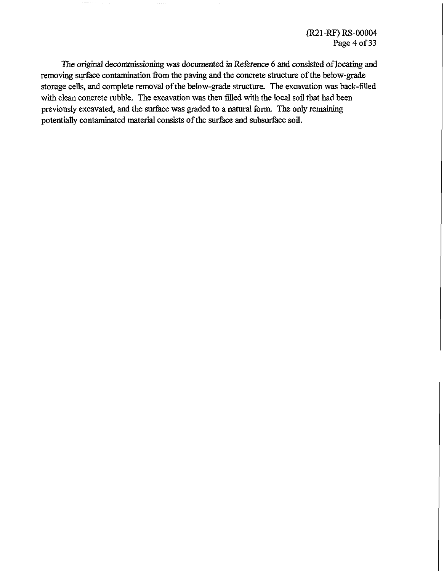(R21-RF) RS-00004 Page 4 of 33

The original decommissioning was documented in Reference 6 and consisted of locathg and removing surface contamination from the paving and the concrete structure of the below-grade storage cells, and complete removal of the below-grade structure. The excavation was back-filled with clean concrete rubble. The excavation was then filled with the local soil that had been previously excavated, and the surface was graded to a natural form. The only remaining potentially contaminated material consists of the surface and subsurface soil.

where  $\alpha$  is a subset of  $\alpha$ 

 $\sim$  -  $\sim$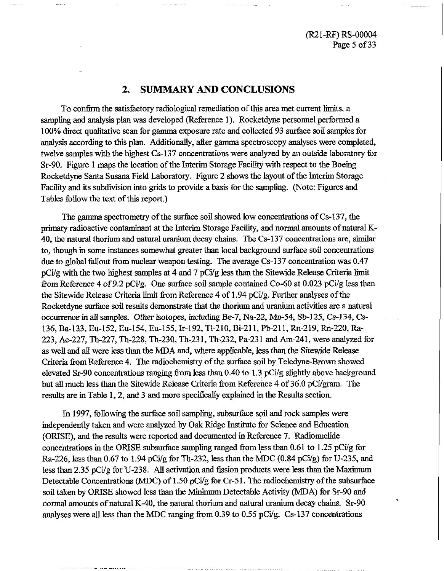### **2. SUMMARY AND CONCLUSIONS**

To confirm the satisfactory radiological remediation of this area met current limits, a sampling and analysis plan was developed (Reference 1). Rocketdyne personnel performed a 100% **direct** qualitative scan for gamma exposure rate and collected 93 surface soil samples for analysis according to this plan. Additionally, after gamma spectroscopy analyses were completed, twelve samples with the highest Cs-137 concentrations were analyzed by an outside laboratory for Sr-90. Figure 1 maps the location of the Interim Storage Facility with respect to the Boeing Rocketdyne Santa Susana Field Laboratory. Figure 2 shows the layout of the Interim Storage Facility and its subdivision into grids to provide a basis for the sampling. (Note: Figures and Tables follow the text of this report.)

The gamma spectrometry of the surface soil showed low concentrations of Cs-137, the primary radioactive contaminant at the Interim Storage Facility, and normal amounts of natural **K-**40, the natural thorium and natural uranium decay chains. The Cs-137 concentrations are, similar to, though in some instances somewhat greater than local background surface soil concentrations due to global fallout from nuclear weapon testing. The average Cs-137 concentration was 0.47  $pCi/g$  with the two highest samples at 4 and 7  $pCi/g$  less than the Sitewide Release Criteria limit from Reference 4 of 9.2 pCi/g. One surface soil sample contained Co-60 at 0.023 pCi/g less than the Sitewide Release Criteria limit from Reference 4 of 1.94 pCi/g. Further analyses of the Rocketdyne surface soil results demonstrate that the thorium and uranium activities are a natural occurrence in all samples. Other isotopes, including Be-7, Na-22, Mn-54, Sb-125, Cs-134, **Cs-**136, Ba-133, Eu-152, Eu-154, Eu-155, Ir-192, T1-210, Bi-211, Pb-211, Rn-219, Rn-220, Ra-223, Ac-227, Th-227, Th-228, Th-230, Th-231, Th-232, Pa-231 and Am-241, were analyzed for as well and all were less than the **MDA** and, where applicable, less than the Sitewide Release Criteria from Reference 4. The radiochemistry of the surface soil by Teledyne-Brown showed elevated Sr-90 concentrations ranging from less than 0.40 to 1.3 pCig slightly above background but all much less than the Sitewide Release Criteria from Reference 4 of 36.0 pCi/gram. The results are in Table 1,2, and 3 and more specfically explained in the Results section.

In 1997, following the surface soil sampling, subsurface soil and rock samples were independently taken and were analyzed by Oak Ridge Institute for Science and Education (ORISE), and the results were reported and documented in Reference 7. Radionuclide concentrations in the ORISE subsurface sampling ranged fiom less than 0.61 to 1.25 pCi/g for Ra-226, less than 0.67 to 1.94 pCi/g for Th-232, less than the MDC  $(0.84 \text{ pCi/g})$  for U-235, and less than 2.35 pCi/g for U-238. All activation and fission products were less than the Maximum Detectable Concentrations (MDC) of 1.50 pCi/g for Cr-51. The radiochemistry of the subsurface soil taken by ORISE showed less than the **Minimum** Detectable Activity (MDA) for Sr-90 and normal amounts of natural K-40, the natural thorium and natural uranium decay chains. Sr-90 analyses were all less than the MDC ranging from 0.39 to 0.55 pC $i/g$ . Cs-137 concentrations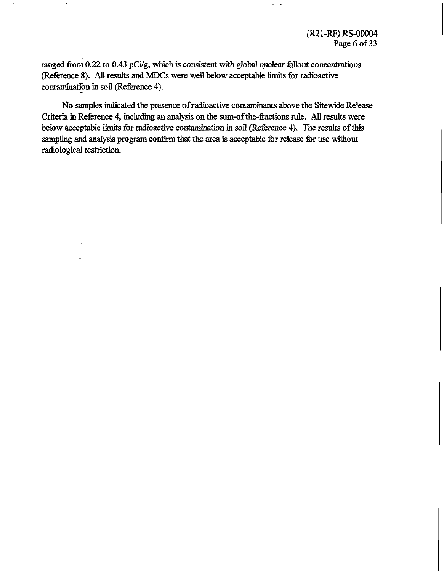ranged from 0.22 to 0.43 pCi/g, which is consistent with global nuclear fallout concentrations (Reference 8). **AU** results and MDCs were well below acceptable limits for radioactive contamination in soil (Reference 4).

No **samples** indicated the presence of radioactive contamhants above the Sitewide **ReIease**  Criteria in Reference 4, including an analysis on the sum-of the-fractions rule. All results were below **&aptable** limits for radioactive contamination in **soil** (Reference 4). The results of this **sampling** and analysis program **confirm** that the area is acceptable for release for **use** without radiological restriction.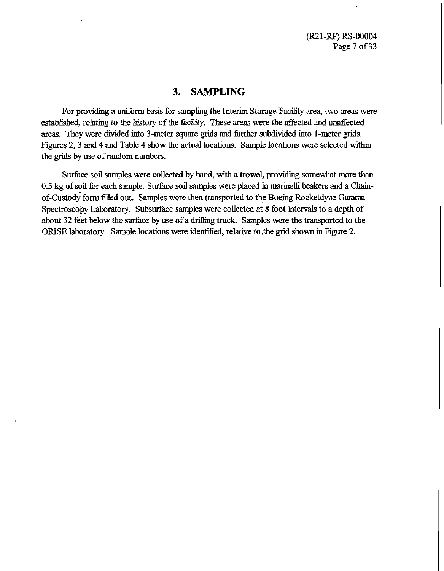### **3. SAMPLING**

For providing a uniform basis for sampling the Interim Storage Facility area, two areas were established, relating to the history of the facility. These areas were the affected and unaffected areas. They were divided into 3-meter square grids and further subdivided into 1-meter grids. Figures 2, 3 and 4 and Table 4 show the actual locations. Sample locations were selected within the **grids** by use of random numbers.

Surface soil samples were collected by hand, with a trowel, providing somewhat more than 0.5 kg of soil for each sample. Surface soil samples were placed in rnarinelli beakers and a Chainof-Custody form filled out. Samples were then transported to the Boeing Rocketdyne Gamma Spectroscopy Laboratory. Subsurface samples were collected at 8 foot intervals to a depth of about 32 feet below the surface by use of a *driUing* truck. Samples were the transported to the ORISE laboratory. Sample locations were identified, relative to the grid shown in Figure 2.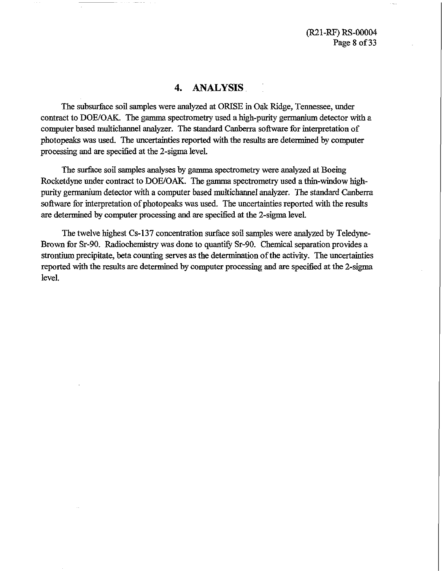**@21-FS)** RS-00004 Page 8 of 33

#### **4. ANALYSIS**

The subsurface soil samples were analyzed **at** OEUSE in Oak Ridge, Tennessee, under contract to DOE/OAK. The gamma spectrometry used a high-purity germanium detector with a computer based multichannel analyzer. The standard Canberra software for interpretation of photopeaks was used. The uncertainties reported with the results are determined by computer processing and are specified at the 2-sigma level.

The surface soil samples analyses by gamma spectrometry were analyzed at Boeing Rocketdyne under contract to DOE/OAK. The gamma spectrometry used a thin-window highpurity germanium detector with a computer based multichannel analyzer. The standard Canberra software for interpretation of photopeaks was used. The uncertainties reported with the results are determined by computer processing and are specified at the 2-sigma level.

The twelve highest Cs-137 concentration surface soil samples were analyzed by Teledyne-Brown for Sr-90. Radiochemistry was done to quantify Sr-90. Chemical separation provides a strontium precipitate, beta counting serves as the determination of the activity. The uncertainties reported with the results are determined by computer processing and are specified at the 2-sigma level.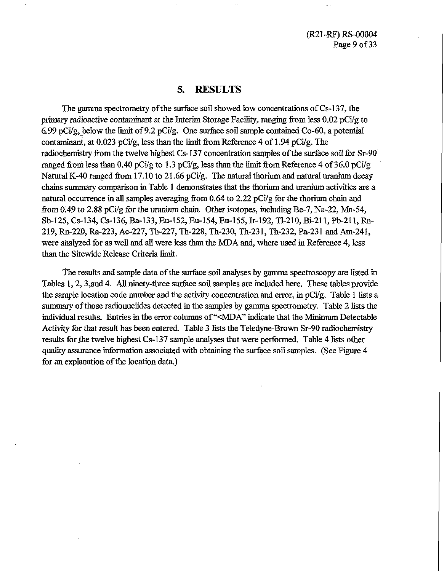(R21-RF) RS-00004 Page 9 of 33

#### **5. RESULTS**

The gamma spectrometry of the surface soil showed low concentrations of Cs-137, the primary radioactive contaminant at the Interim Storage Facility, ranging fiom less 0.02 pCig to 6.99 pCi/g, below the limit of 9.2 pCi/g. One surface soil sample contained Co-60, a potential contaminant, at  $0.023$  pCi/g, less than the limit from Reference 4 of 1.94 pCi/g. The radiochemistry fiom the twelve highest Cs- 137 concentration samples of the surface soil for Sr-90 ranged from less than 0.40 pCi/g to 1.3 pCi/g, less than the limit from Reference 4 of 36.0 pCi/g Natural K-40 ranged from 17.10 to 21.66 pCi/g. The natural thorium and natural uranium decay chains summary comparison in Table 1 demonstrates that the thorium and uranium activities are a natural occurrence in all samples averaging from  $0.64$  to  $2.22$  pCi/g for the thorium chain and from 0.49 to 2.88 pCi/g for the uranium chain. Other isotopes, including Be-7, Na-22, Mn-54, Sb-125, Cs-134, Cs-136, Ba-133, Eu-152, Eu-154, Eu-155, Ir-192, TI-210, Bi-211, Pb-211, **Rn-**219, Rn-220, Ra-223, Ac-227, Th-227, Th-228, Th-230, Th-231, Th-232, Pa-231 and Am-241, were analyzed for as well and all were less than the MDA and, where used in Reference 4, less than the Sitewide Release Criteria limit.

The results and sample data of the surface soil analyses by gamma spectroscopy are listed in Tables 1,2,3,and 4. Allninety-three **surface** soil samples **are** included here. These tables provide the sample location code number and the activity concentration and error, in  $pCi/g$ . Table 1 lists a summary of those radionuclides detected in the samples by gamma spectrometry. Table 2 lists the individual results. Entries in the error columns of "<MDA" indicate that the Minimum Detectable Activity for that result has been entered. Table 3 lists the Teledyne-Brown Sr-90 radiochemistry results for the twelve highest Cs-137 sample analyses that were performed. Table 4 lists other **quality** assurance information associated with obtaining the surface soil samples. (See Figure 4 for an explanation of the location data.)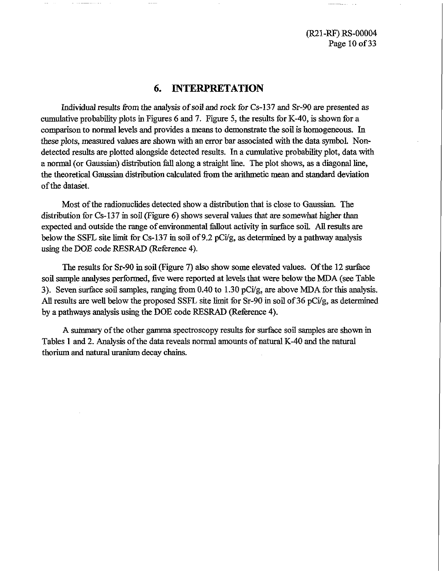(R21-RF) RS-00004 Page 10 of 33

#### **6. INTERPRETATION**

Individual results from the analysis of soil and rock for Cs-137 and Sr-90 are presented as cumulative probabity plots in Figures 6 and 7. Figure 5, the results for K-40, is shown for a comparison to normal levels and provides a means to demonstrate the soil is homogeneous. In these plots, measured values are shown with an error bar associated with the data symbol. Nondetected results are plotted alongside detected results. In a cumulative probabiity plot, data with a normal (or Gaussian) distribution fall along a straight line. The plot shows, as a diagonal line, the theoretical Gaussian distribution calculated from the arithmetic mean and standard deviation of the dataset.

Most of the radionuclides detected show a distribution that is close to Gaussian. The distribution for  $Cs-137$  in soil (Figure 6) shows several values that are somewhat higher than expected and outside the range of environmental fallout activity in surface soil. **An** results are below the SSFL site limit for Cs-137 in soil of 9.2 pCig, as determined by a pathway analysis using the DOE code RESRAD (Reference 4).

The results for Sr-90 in soil (Figure 7) also show some elevated values. Of the 12 surface soil sample analyses performed, five were reported at levels that were below the **MDA** (see Table 3). Seven surface soil samples, ranging from 0.40 to 1.30 pCifg, are above **MDA** for this analysis. All results are well below the proposed SSFL site limit for Sr-90 in soil of 36 pCi/g, as determined by a pathways analysis using the DOE code RESRAD (Reference **4).** 

A **suinmary** of the other gamma spectroscopy results for surface soil samples are shown in Tables 1 and 2. Analysis of the data reveals normal amounts of natural K-40 and the natural thorium and natural uranium decay chains.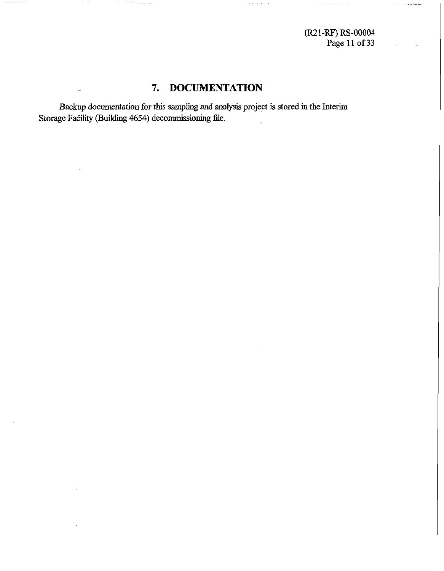**Page 11 of 33** 

### **7. DOCUMENTATION**

**Backup documentation for this sampling and analysis project is stored in the Interim**  Storage Facility (Building 4654) decommissioning file.

the construction of the construction

 $\begin{array}{cccccccccccccc} \multicolumn{2}{c}{} & \multicolumn{2}{c}{} & \multicolumn{2}{c}{} & \multicolumn{2}{c}{} & \multicolumn{2}{c}{} & \multicolumn{2}{c}{} & \multicolumn{2}{c}{} & \multicolumn{2}{c}{} & \multicolumn{2}{c}{} & \multicolumn{2}{c}{} & \multicolumn{2}{c}{} & \multicolumn{2}{c}{} & \multicolumn{2}{c}{} & \multicolumn{2}{c}{} & \multicolumn{2}{c}{} & \multicolumn{2}{c}{} & \multicolumn{2}{c}{} & \multicolumn{2}{c}{} & \multicolumn{2}{c}{} & \$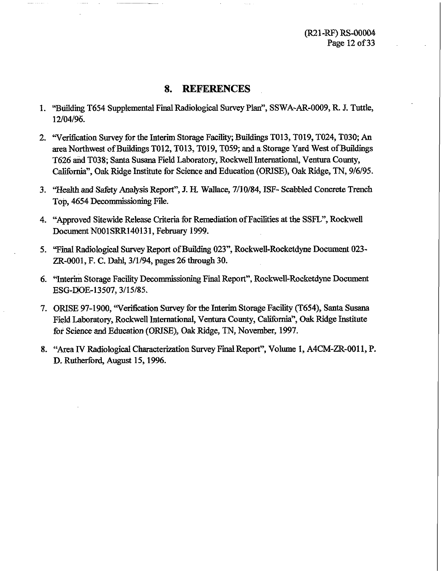**(R21-RF)** RS-00004 Page 12 of 33

#### **8. REFERENCES**

- 1. **"Building T654 Supplemental Final Radiological Survey Plan", SSWA-AR-0009, R. J. Tuttle,** 12/04/96.
- 2. "Verification Survey for the Interim Storage Facility; Buildings T013, T019, T024, T030; An area Northwest of **Buildings** T012, T013, T019, T059; and a Storage Yard West of Buildings T626 and T038; Santa Susana Field Laboratory, Rockwell International, Ventura County, Californian, **Oak** Ridge Institute for Science and Education (ORISE), **Oak** Ridge, **TN,** 9/6/95.
- **3.** "Health and **Safety Analysis** Report", J. H. Wallace, 7/10/84, ISF- Scabbled Concrete Trench Top, 4654 Decommissioning Fie.
- 4. "Approved Sitewide Release Criteria for Remediation of Facilities at the SSFL", Rockwell Document N001SRR140131, February 1999.
- 5. "Final Radiological Survey Report of Building 023", Rockwell-Rocketdyne Document 023-ZR-0001, F. C. Dahl, 3/1/94, pages 26 through 30.
- 6. "Interim Storage Facility Decommissioning **Fi** Report", RockweUrRocketdyne Document ESG-DOE-13507, 3/15/85.
- 7. ORISE 97-1900, 'Verification Survey for **the** Interim Storage Facility (T654), Santa Susana Field Laboratory, Rockwell International, Ventura **County,** California", Oak Ridge Institute for Science and Education (ORISE), Oak Ridge, TN, November, 1997.
- 8. "Area **IV** Radiological Characterization Survey Final Report", Volume I, A4CM-ZR-0011, P. D. Rutherford, August 15, 1996.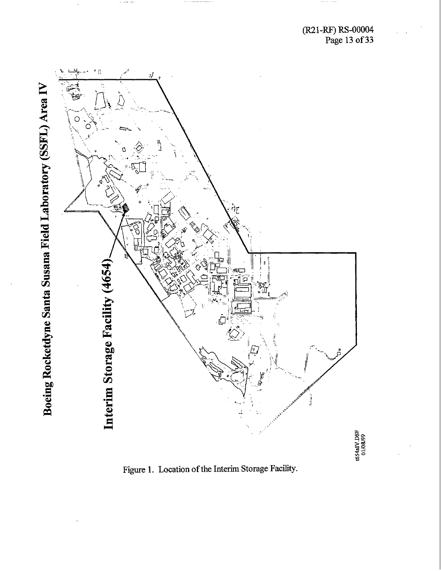

Figure 1. Location of the Interim Storage Facility.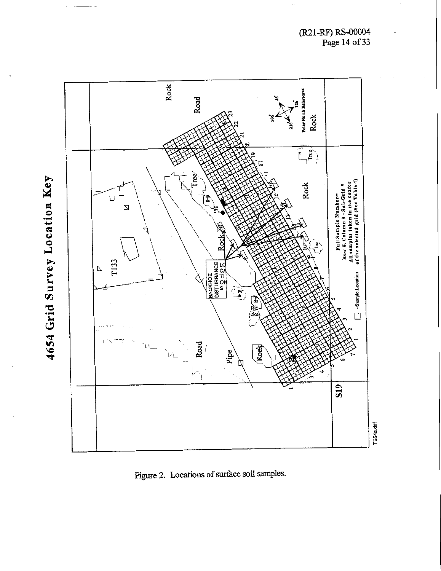

Figure 2. Locations of surface soil samples.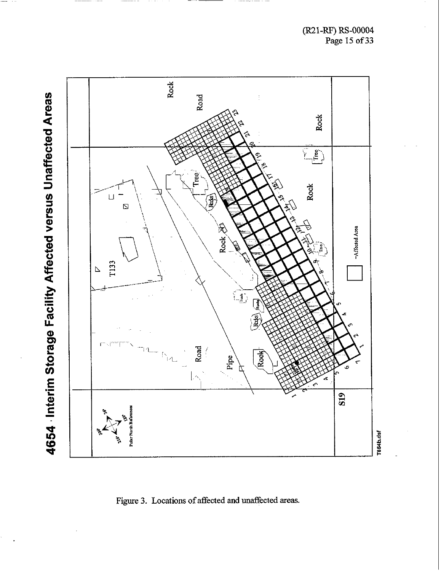(El-RF) **RS-00004 Page 15 of 33** 



Figure 3. Locations of affected and unaffected areas.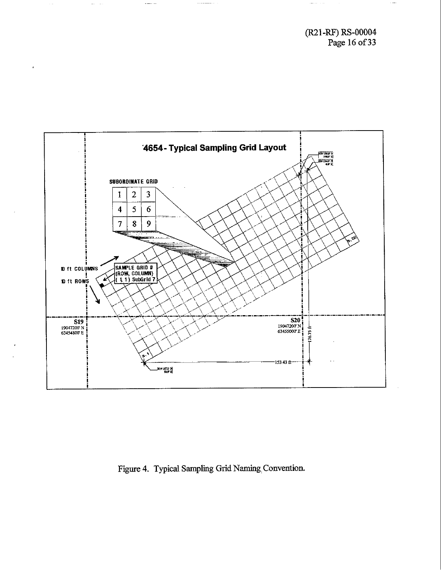**(R21 -RF)** RS-00004 Page 16 of **33** 

 $\sim$  -  $\sim$ 

 $\label{eq:1} \begin{split} \mathcal{L} & = \mathcal{L} \times \mathcal{L} \times \mathcal{L} \times \mathcal{L} \times \mathcal{L} \times \mathcal{L} \times \mathcal{L} \times \mathcal{L} \times \mathcal{L} \times \mathcal{L} \times \mathcal{L} \times \mathcal{L} \times \mathcal{L} \times \mathcal{L} \times \mathcal{L} \times \mathcal{L} \times \mathcal{L} \times \mathcal{L} \times \mathcal{L} \times \mathcal{L} \times \mathcal{L} \times \mathcal{L} \times \mathcal{L} \times \mathcal{L} \times \mathcal{L} \times$ 



 $\cdots \cdots \cdots \cdots \cdots \cdots$ 

Figure 4. Typical Sampling Grid Naming Convention.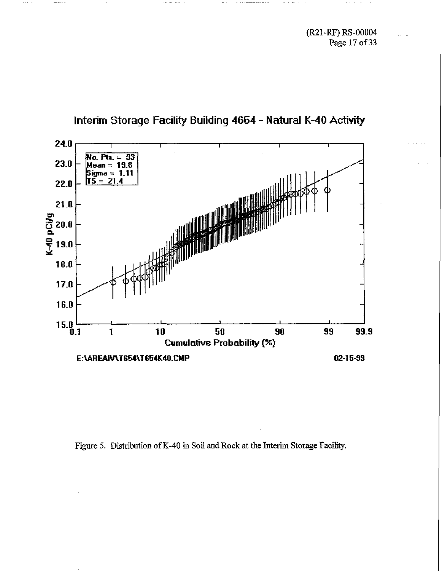(R21-W) RS-00004 **Page 17 of 33** 



**Interim Storage Facility Building 4654** - **Natural K-40 Activity** 

**Figure** *5.* **Distribution of K-40 in Soil and Rock at the Interim Storage** Facility.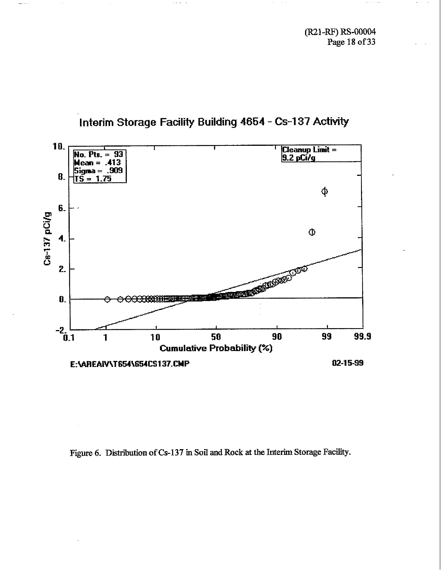**(R21-W) RS-00004 Page 18 of 33** 



## **Interim Storage Facility Building 4854** - **Cs-137 Activity**

 $\sim 10^{-1}$ 

Figure 6. Distribution of Cs-137 in Soil and Rock at the Interim Storage Facility.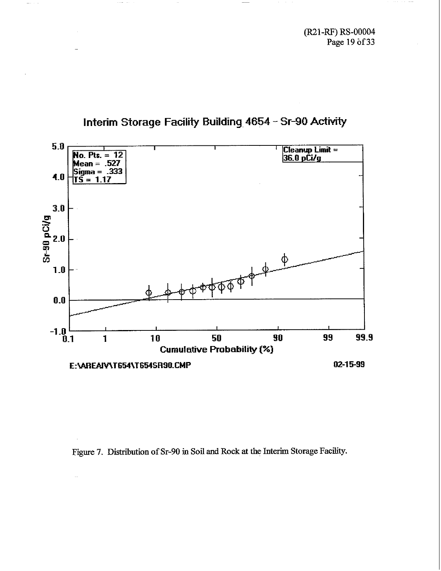(R21-RF) RS-00004 Page 19 of 33



 $\omega_{\rm{max}}$  .



Figure 7. Distribution of Sr-90 in Soil and Rock at the Interim Storage Facility.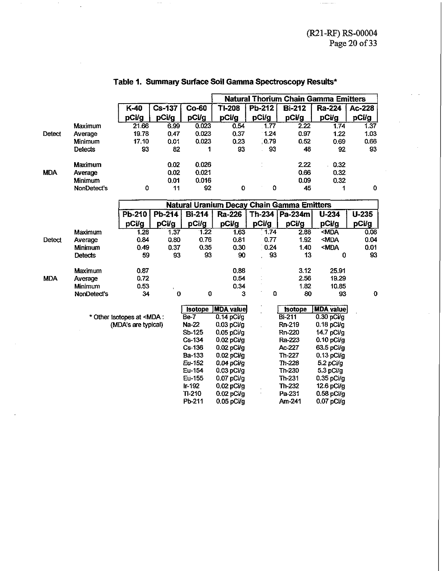| <b>Natural Thorium Chain Gamma Emitters</b><br>$Cs-137$<br>Co-60<br><b>TI-208</b><br>Pb-212<br>$K-40$<br><b>Bi-212</b><br><b>Ra-224</b><br>Ac-228<br>pCi/g<br>pCi/g<br>pCi/g<br>pCi/g<br>pCi/g<br>pCi/g<br>pCi/g<br>pCi/g<br>0.023<br>Maximum<br>21.66<br>6.99<br>0.54<br>.1.77<br>2.22<br>1.37<br>1.74<br>0.023<br>19.78<br>0.37<br>$-1.24$<br>0.97<br>1.22<br>1.03<br>Detect<br>0.47<br>Average |
|---------------------------------------------------------------------------------------------------------------------------------------------------------------------------------------------------------------------------------------------------------------------------------------------------------------------------------------------------------------------------------------------------|
|                                                                                                                                                                                                                                                                                                                                                                                                   |
|                                                                                                                                                                                                                                                                                                                                                                                                   |
|                                                                                                                                                                                                                                                                                                                                                                                                   |
|                                                                                                                                                                                                                                                                                                                                                                                                   |
|                                                                                                                                                                                                                                                                                                                                                                                                   |
| 0.023<br>0.79<br>0.66<br>17.10<br>0.01<br>0.23<br>0.52<br>0.69<br>Minimum                                                                                                                                                                                                                                                                                                                         |
| 93<br>82<br>93<br>93<br>93<br>48<br>92<br><b>Detects</b><br>1                                                                                                                                                                                                                                                                                                                                     |
| 0.026<br>0.02<br>2.22<br>0.32<br>Maximum                                                                                                                                                                                                                                                                                                                                                          |
| 0.02<br>0.021<br>0.66<br>0.32<br><b>MDA</b><br>Average                                                                                                                                                                                                                                                                                                                                            |
| 0.01<br>0.016<br>0.09<br>0.32<br>Minimum                                                                                                                                                                                                                                                                                                                                                          |
| NonDetect's<br>0<br>11<br>92<br>0<br>o<br>45<br>0<br>1                                                                                                                                                                                                                                                                                                                                            |
| <b>Natural Uranium Decay Chain Gamma Emitters</b>                                                                                                                                                                                                                                                                                                                                                 |
| Pb-210<br>$Pb-214$<br><b>Bi-214</b><br><b>U-235</b><br>Ra-226<br>Th-234   Pa-234m  <br>$U-234$                                                                                                                                                                                                                                                                                                    |
| pCi/g<br>pCi/g<br>pCi/g<br>pCi/g<br>pCi/g<br>pCi/g<br>pCi/g<br>pCi/g                                                                                                                                                                                                                                                                                                                              |
| $-MDA$<br>$-1.74$<br>Maximum<br>$-1,22$<br>2.88<br>1.28<br>1.37<br>1.63<br>0.08                                                                                                                                                                                                                                                                                                                   |
| 0.76<br>1.92<br><mda<br>0.84<br/>0.80<br/>0.81<br/>0.77<br/>0.04<br/>Detect<br/>Average</mda<br>                                                                                                                                                                                                                                                                                                  |
| 0.24<br>1.40<br><mda<br>0.01<br/>0.49<br/>0.37<br/>0.35<br/>0.30<br/><b>Minimum</b></mda<br>                                                                                                                                                                                                                                                                                                      |
| 93<br>59<br>93<br>93<br>90<br>13<br>$\mathbf 0$<br>93<br><b>Detects</b>                                                                                                                                                                                                                                                                                                                           |
| 0.87<br>0.88<br>3.12<br>25.91<br>Maximum                                                                                                                                                                                                                                                                                                                                                          |
| 2.56<br>0.72<br>0.54<br>19.29<br><b>MDA</b><br>Average                                                                                                                                                                                                                                                                                                                                            |
| 1.82<br>0.53<br>0.34<br>10.85<br><b>Minimum</b>                                                                                                                                                                                                                                                                                                                                                   |
| 0<br>0<br>0<br>$\bf{0}$<br>3<br>80<br>93<br>NonDetect's<br>34                                                                                                                                                                                                                                                                                                                                     |
| <b>MDA</b> value<br><b>MDA</b> value<br><b>Isotope</b><br><b>Isotope</b>                                                                                                                                                                                                                                                                                                                          |
| Be-7<br>$0.14$ pCi/g<br><b>Bi-211</b><br>$0.30$ pCi/g<br>* Other Isotopes at <mda:< td=""></mda:<>                                                                                                                                                                                                                                                                                                |
| (MDA's are typical)<br>Na-22<br>$0.03$ pCi/g<br>Rn-219<br>$0.18$ pCi/g                                                                                                                                                                                                                                                                                                                            |
| Sb-125<br>0.05 pCi/g<br><b>Rn-220</b><br>14.7 pCi/g                                                                                                                                                                                                                                                                                                                                               |
| Cs-134<br>$0.02$ pCi/g<br>Ra-223<br>$0.10$ pCi/g                                                                                                                                                                                                                                                                                                                                                  |
| Ac-227<br>Cs-136<br>63.5 pCi/g<br>$0.02$ pCi/g                                                                                                                                                                                                                                                                                                                                                    |
| Ba-133<br>Th-227<br>0.02 pCi/g<br>$0.13$ pCi/g                                                                                                                                                                                                                                                                                                                                                    |
| Eu-152<br>Th-228<br>$0.04$ pCi/g<br>$5.2$ pCi/g                                                                                                                                                                                                                                                                                                                                                   |
| Eu-154<br>$0.03$ pCi/g<br>Th-230<br>5.3 pCi/g                                                                                                                                                                                                                                                                                                                                                     |
| Eu-155<br>$0.07$ pCi/g<br>Th-231<br>$0.35$ pCi/g                                                                                                                                                                                                                                                                                                                                                  |
| $Ir-192$<br>Th-232<br>0.02 pCi/g<br>12.6 pCi/g                                                                                                                                                                                                                                                                                                                                                    |
| $TI-210$<br>Pa-231<br>$0.02$ pCi/g<br>$0.58$ pCi/g                                                                                                                                                                                                                                                                                                                                                |
| Pb-211<br>Am-241<br>$0.05$ pCi/g<br>$0.07$ pCi/g                                                                                                                                                                                                                                                                                                                                                  |

#### **Table I. Summary Surface Soil Gamma Spectroscopy Results\***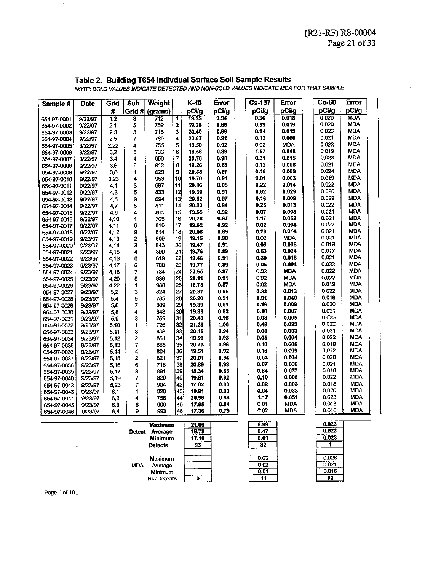#### **Table 2. Building T654 lndivdual Surface Soil Sample Results**

**its**<br>
MDA FOR THAT S<br> **ETTOT**<br>
DO MD irror<br>Cita ig T654 I<br>*INDICATE*<br>Sub- | Wei **g res4 i**<br> *iNDICATE*<br> **ivib**-<br> **rid #** (gra<br>
8<br>
7 **Date** Grid **Sub-**<br>Grid #  $K-40$ Error  $\overline{\text{Cs}}$ -137 **Error Error**  Sample #  $\mathbf{H}$ pCi/g pCi/g pCi/g 19.95  $0.94$  $0.36$ **0.018**   $0.020$ **MDA** 654-97-0001 9/22/97  $\overline{12}$ **8**  1 **0.019**  0.020 MDA 19.26 0.86 0.39 654-97-0002 9/22/97  $2.1$ **5**  2 9/22/97 **3**  715 3 20.40  $0.96$  $0.24$ **0.013**  0.023 MDA 654-97-0003 2.3  $0.13$ **0.006**   $0.021$ MDA 654-97-0004 9/22/97  $2,5$ **7**  789  $\overline{\mathbf{4}}$ 20.07 0.91 **4**  755 5 19.50  $0.92$  $0.02$ MDA 0.022 MDA 654-97-0005 9/22/97 2.22 **0.048**  0.019 MDA 19.58  $0.89$ 1.07 9/22/97  $3.2$ **5**  733 6 654-97-0006 9/22/97  $34$ **4**  650  $\overline{7}$ 20.76 0.98  $0.31$ **0.015**   $0.023$ MDA 654-97-0007 0.021 MDA  $0.12$ **0.008**  9/22/97 3.6 **9**  812 8 19.26 0.88 654-97-0008 0.97  $0.16$ **0.009**  0.024 MDA 654-97-0009 1 629 9 20.35 9/22/97  $3.8$ 0.019 MDA 9/22/97 3.23 **4**  953 10 19.70 0.91  $0.01$ **0.003**  654-97-0010  $0.22$ **0.014**  0.022 MDA 3 697 11 20.06 0.95 654-97-0011 9/22/97 41 0.020 MDA **5**  833  $|12|$ 19.39  $0.91$  $0.62$ **0.029**  654-97-0012 9/22/97 4,3 **0.009**  0.022 MDA 9 694 13 20.52 0.97  $0.16$ 654-97-0013 9/22/97  $4,5$ MDA **5**  811  $14$ 20.03 0.94  $0.25$ **0.013**  0.022 654-97-0014 9/22/97 4,7 **0.005**  MDA 19,55 0.92  $0.07$  $0.021$ 805 15 654-97-0015 9/22/97 4,9 **4**  MDA 654-97-0016 9/22/97 4.10 1 765 16 20,76 0.97 1.17 **0.052**   $0.021$ **0.004**  0.023 MDA 810  $17$ 19.62 0.92  $0.02$ 654-97-0017 9/22/97 4.11 6 **0.014**  0.021 MDA  $0.89$ 0.29 654-97-0018 9/23/97 4,12 9 814 18 20.08 0.02 MDA 0.021 MDA 9/23/97 **2**  809  $19$ 19.15 0.90 654-97-0019 4.13 **0.m**  0.019 MDA 843 20 0.91 0.09 654-97-0020 9/23/97 4.14 **3**  19.47 19.76 MDA 4.15 **4**  890 21 0.89  $0.53$ **0.024**  0.017 9/23/97 654-97-0021  $0.021$ MDA 22  $0.30$ **0.015**  654-97-0022 9/23/97 4,16 **8**  819 19.46  $0.91$ MDA 9/23/97 6 738 23 19.77 0.89  $0.05$ **0.004**  0.022 4.17 654-97-0023 24 0.02 MDA 0.022 MDA 784 0.97 654-97-0024 9/23/97 4,18 7 20.65 9/23/97 4,20 **5**  939 25 20.11 0.91 0.02 MDA 0.022 MDA 654 97 0025 MDA 0.019 MDA 26 0.02 654-97-0026 9/23/97 4.22 1 938 18.75 0.87 27  $0.23$ **0.013**  0.022 MDA  $5.2$ 3 824 20.37 0.95 654-97-0027 9/23/97 785 28 20.20 0.91 0.91 **0.040**  0.019 MDA 654-97-0028 9/23/97  $5,4$ 9 29 19.39 0.91  $0.16$ **0.009**   $0.020$ MDA 654-97-0029 5,6 7 809 9/23/97 **0.007**  0.021 MDA 848  $30<sub>1</sub>$ 19.88 0.93  $0.10$ 654-97-0030 9/23/97  $5,8$ **4**  9/23/97  $5.9$ **3**  769 31 20.43 0.96  $0.08$ **0.005**  0.023 MDA 654-97-0031 MDA **0.023**  0.022 726 32 21.28 1.00  $0.49$ 654-97-0032 9/23/97 5,10 **1**  0.021 MDA 654-97-0033 9/23/97  $5,11$ **8**  803 33 20.16 0.94  $0.04$ **0.003**  0.022 MDA  $0.93$ 0.05 **0.004**  654-97-0034 9/23/97  $5,12$ **2**  861 34 19.93 0.019 MDA 654-97-0035 9/23/97  $5,13$ **7**  885 35 20.73 0.96  $0.10$ **0.006**  36  $0.92$  $0.16$ **0.009**  0.022 MDA **RD4** 19.51 654-97-0036 9/23/97  $5,14$ **4**  MDA **0.004**   $0.020$ 654-97-0037 9/23/97  $5,15$ **2**  821 37 20.01  $0.94$  $0.04$  $\begin{array}{c|c} 0.006 & 0.037 \ 0.006 & 0.037 \ 0.006 & 0.038 \ 0.038 & 0.051 \ 0.051 & 0.051 \ 0.0000 & 0.051 \ 0.0000 & 0.051 \end{array}$ 38 20.89 0.98  $0.07$ **0.006**  MDA 715 654-97-0038 9/23/97 5,16 **6**  MDA<br>MDA<br>MDA<br>MDA<br>MDA<br>MDA<br>MDA<br>MDA 891 39 18.34  $0.83$ 0.84 **0.037**  MDA 654-97-0039 9/23/97 5,17 3 7 40 19.61  $0.92$  $0.10$ **0.006**  MDA 654-97-0040 9/23/97 5.19  $\begin{array}{c|c|c|c|c} \hline \text{7} & \text{8} & \text{8} & \text{7} \\ \text{8} & \text{9} & \text{8} & \text{8} \\ \hline \end{array}$ MDA 7 42 17.82 0.83  $0.02$ **0.003**  654-97-0042 9/23/97 5.23 MDA 43 19.81 0.93 0.84 **0.038**  654-97-0043 9/23/97  $6,1$ 1 MDA 654-97-0044 9/23/97  $6,2$ **4**  44 20.96 **0.98** 1.17 **0.051**  MDA<br>MDA MDA 8<br>9 45 17.95  $0.84$  $0.01$  $6,3$ 654-97-0045 9/23/97 n na 654-97-0046 9/23/97 6.4 46 17.36 0.79

*NOTE.* BOLD VALUES INDICATE DE7ECTED AND **NOWBOLD** VALUESINDICXTEMDA **FOR THATSAMPLE** 

| Jetect     | <b>Maximum</b><br>Average | 21.66<br>19.78 |
|------------|---------------------------|----------------|
|            | Minimum                   | 17.10          |
|            | <b>Detects</b>            | 93             |
|            | Maximum                   |                |
| <b>MDA</b> | Average                   |                |
|            | Minimum                   |                |
|            | NonDetect's               |                |

| 6.99 |  |
|------|--|
| 0.47 |  |
| 0.01 |  |
| 82   |  |
|      |  |
| 0.02 |  |
| 0.02 |  |
| 0.01 |  |
|      |  |

| 0.023 |  |
|-------|--|
| 0.023 |  |
| 0.023 |  |
|       |  |
|       |  |
| 0.026 |  |
| 0.021 |  |
| 0.016 |  |
|       |  |

**Page** 1 **of** 10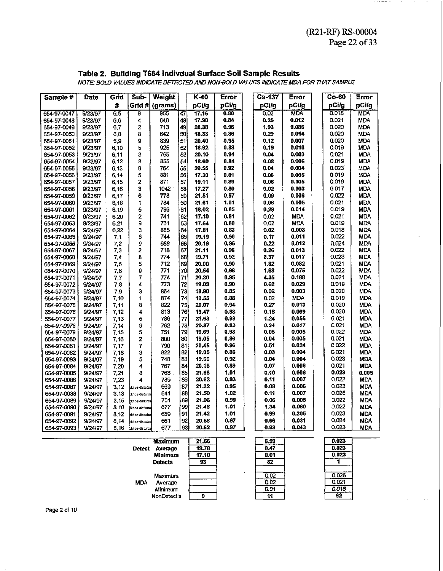$\epsilon$  is consider

#### **Table 2. Building T654 lndivdual Surface Soil Sample Results**

 $\sim$   $\sim$   $\sim$ 

 $\sim$  1000  $\pm$ 

|                                                                                      |                    |              |                        |                |          |                |              |  |                                                              |                |  |                | Page 22 of 33     |  |
|--------------------------------------------------------------------------------------|--------------------|--------------|------------------------|----------------|----------|----------------|--------------|--|--------------------------------------------------------------|----------------|--|----------------|-------------------|--|
|                                                                                      |                    |              |                        |                |          |                |              |  |                                                              |                |  |                |                   |  |
|                                                                                      |                    |              |                        |                |          |                |              |  |                                                              |                |  |                |                   |  |
|                                                                                      |                    |              |                        |                |          |                |              |  |                                                              |                |  |                |                   |  |
|                                                                                      |                    |              |                        |                |          |                |              |  | Table 2. Building T654 Indivdual Surface Soil Sample Results |                |  |                |                   |  |
| NOTE: BOLD VALUES INDICATE DETECTED AND NON-BOLD VALUES INDICATE MDA FOR THAT SAMPLE |                    |              |                        |                |          |                |              |  |                                                              |                |  |                |                   |  |
|                                                                                      |                    |              |                        |                |          |                |              |  |                                                              |                |  |                |                   |  |
|                                                                                      |                    |              |                        |                |          |                |              |  |                                                              |                |  |                |                   |  |
| Sample #                                                                             | <b>Date</b>        | Grid         | Sub-                   | Weight         |          | $K-40$         | Error        |  | $Cs-137$                                                     | <b>Error</b>   |  | Co-60          | Error             |  |
|                                                                                      |                    | #            |                        | Grid # (grams) |          | pCi/g          | pCi/g        |  | pCi/g                                                        | pCi/g          |  | pCi/g          | pCi/g             |  |
| 654-97-0047                                                                          | 9/23/97            | 6.5          | 9                      | 955            | 47       | 17.16          | 0.80         |  | 0.02                                                         | <b>MDA</b>     |  | 0.018          | <b>MDA</b>        |  |
| 654-97-0048                                                                          | 9/23/97            | 6.6          | 4                      | 848            | 48       | 17.98          | 0.84         |  | 0.25                                                         | 0.012          |  | 0,021          | MDA               |  |
| 654-97-0049                                                                          | 9/23/97            | 6,7          | 2                      | 713            | 49       | 20.38          | 0.96         |  | 1.93                                                         | 0.086          |  | 0.020          | MDA               |  |
| 654-97-0050                                                                          | 9/23/97            | 6,8          | 8                      | 842            | 50       | 18.33          | 0.86         |  | 0.29                                                         | 0.014          |  | 0.020          | MDA               |  |
| 654-97-0051                                                                          | 9/23/97            | 6,9          | 9                      | 839            | 51       | 20.40          | 0.95         |  | 0.12                                                         | 0.007          |  | 0,020          | <b>MDA</b>        |  |
| 654-97-0052                                                                          | 9/23/97            | 6,10         | 5                      | 925            | 52       | 18.92          | 0.88         |  | 0.19                                                         | 0.010          |  | 0.019          | <b>MDA</b>        |  |
| 654-97-0053                                                                          | 9/23/97            | 6,11         | 3                      | 765            | 53       | 20.10          | 0.94         |  | 0.04                                                         | 0.003          |  | 0.021          | MDA               |  |
| 654-97-0054                                                                          | 9/23/97            | 6,12         | 8                      | 855<br>764     | 54<br>55 | 18.60          | 0.84<br>0.92 |  | 0.08                                                         | 0.006<br>0.004 |  | 0.019<br>0.023 | MDA<br><b>MDA</b> |  |
| 654-97-0055<br>654-97-0056                                                           | 9/23/97<br>9/23/97 | 6.13<br>6,14 | 9<br>5                 | 881            | 56       | 20.55<br>17.30 | 0.81         |  | 0.04<br>0.06                                                 | 0.005          |  | 0.019          | MDA               |  |
| 654-97-0057                                                                          | 9/23/97            | 6,15         | 2                      | 871            | 57       | 19.11          | 0.89         |  | 0.06                                                         | 0.005          |  | 0.019          | MDA               |  |
| 654-97-0058                                                                          | 9/23/97            | 6, 16        | з                      | 1042           | 58       | 17.27          | 0.80         |  | 0.02                                                         | 0.003          |  | 0.017          | <b>MDA</b>        |  |
| 654-97-0059                                                                          | 9/23/97            | 6,17         | 6                      | 778            | 59       | 21.51          | 0.97         |  | 0.09                                                         | 0.006          |  | 0.022          | MDA               |  |
| 654-97-0060                                                                          | 9/23/97            | 6,18         | 1                      | 784            | 60       | 21.61          | 1.01         |  | 0.06                                                         | 0.005          |  | 0.021          | <b>MDA</b>        |  |
| 654-97-0061                                                                          | 9/23/97            | 6,19         | 5                      | 796            | 61       | 18.02          | 0.85         |  | 0.29                                                         | 0.014          |  | 0.019          | MDA               |  |
| 654-97-0062                                                                          | 9/23/97            | 6,20         | 2                      | 741            | 62       | 17.10          | 0.81         |  | 0.02                                                         | <b>MDA</b>     |  | 0.021          | MDA               |  |
| 654-97-0063                                                                          | 9/23/97            | 6,21         | 9                      | 751            | 63       | 17.64          | 0.80         |  | 0.02                                                         | MDA            |  | 0.019          | mda               |  |
| 654-97-0064                                                                          | 9/24/97            | 6.22         | 3                      | 885            | 64       | 17.81          | 0.83         |  | 0.02                                                         | 0.003          |  | 0,018          | MDA               |  |
| 654-97-0065                                                                          | 9/24/97            | 71           | 6                      | 744            | 65       | 19.19          | 0.90         |  | 0.17                                                         | 0.011          |  | 0.022          | MDA               |  |
| 654-97-0066                                                                          | 9/24/97            | 7.2          | 9                      | 688            | 66       | 20.19          | 0.95         |  | 0.22                                                         | 0.012          |  | 0.024          | MDA               |  |
| 654-97-0067                                                                          | 9/24/97            | 7,3          | 2                      | 718            | 67       | 21.11          | 0.96         |  | 0.26                                                         | 0.013          |  | 0.022          | <b>MDA</b>        |  |
| 654-97-0068                                                                          | 9/24/97            | 74           | 8                      | 774            | 68       | 19.71          | 0.92         |  | 0.37                                                         | 0.017          |  | 0.023          | <b>MDA</b>        |  |
| 654-97-0069                                                                          | 9/24/97            | 7,5          | 5                      | 712            | 69       | 20.00          | 0.90         |  | 1.82                                                         | 0.082          |  | 0.021          | <b>MDA</b>        |  |
| 654-97-0070                                                                          | 9/24/97            | 7,6          | 9                      | 771            | 70       | 20.54          | 0.96         |  | 1.68                                                         | 0.075          |  | 0.022          | <b>MDA</b>        |  |
| 654-97-0071                                                                          | 9/24/97            | 7,7          | 7                      | 774            | 71       | 20.20          | 0.95         |  | 4.35                                                         | 0.188          |  | 0.021          | MDA.              |  |
| 654-97-0072                                                                          | 9/24/97            | 7,8          | 4                      | 773            | 72       | 19.03          | 0.90         |  | 0.62                                                         | 0.029          |  | 0.019          | MDA               |  |
| 654-97-0073                                                                          | 9/24/97            | 7,9          | 3                      | 864            | 73       | 18.90          | 0.85         |  | 0.02                                                         | 0.003          |  | 0.020          | <b>MDA</b>        |  |
| 654-97-0074                                                                          | 9/24/97            | 7.10         | 1                      | 874            | 74       | 19.55          | 0.88         |  | 0.02                                                         | <b>MDA</b>     |  | 0.019          | MDA               |  |
| 654-97-0075                                                                          | 9/24/97            | 7,11         | 8                      | 822            | 75       | 20.07          | 0.94         |  | 0.27                                                         | 0.013          |  | 0.020<br>0.020 | MDA               |  |
| 654-97-0076                                                                          | 9/24/97            | 7,12         | 4<br>5                 | 813<br>786     | 76<br>77 | 19.47<br>21.63 | 0.88<br>0.98 |  | 0.18<br>1.24                                                 | 0.009<br>0.055 |  | 0.021          | <b>MDA</b><br>MDA |  |
| 654-97-0077<br>654-97-0078                                                           | 9/24/97<br>9/24/97 | 7,13<br>7,14 | 9                      | 762            | 78       | 20.87          | 0.93         |  | 0.34                                                         | 0.017          |  | 0.021          | MDA               |  |
| 654-97-0079                                                                          | 9/24/97            | 7, 15        | 5                      | 751            | 79       | 19.69          | 0.93         |  | 0.05                                                         | 0.005          |  | 0.022          | MDA               |  |
| 654-97-0080                                                                          | 9/24/97            | 7.16         | 2                      | 800            | 80       | 19.05          | 0.86         |  | 0.04                                                         | 0.005          |  | 0.021          | MDA.              |  |
| 654-97-0081                                                                          | 9/24/97            | 7.17         | 7                      | 790            | 81       | 20.45          | 0.96         |  | 0.51                                                         | 0.024          |  | 0.022          | MDA               |  |
| 654-97-0082                                                                          | 9/24/97            | 7.18         | 3                      | 822            | 82       | 19.05          | 0.86         |  | 0.03                                                         | 0.004          |  | 0,021          | MDA               |  |
| 654-97-0083                                                                          | 9/24/97            | 7.19         | 5                      | 748            | 83       | 19.66          | 0.92         |  | 0.04                                                         | 0.004          |  | 0.023          | <b>MDA</b>        |  |
| 654-97-0084                                                                          | 9/24/97            | 7.20         | 4                      | 767            | 84       | 20.16          | 0.89         |  | 0.07                                                         | 0.006          |  | 0.021          | MDA               |  |
| 654-97-0085                                                                          | 9/24/97            | 7,21         | 8                      | 763.           | 85       | 21.66          | 1.01         |  | 0.10                                                         | 0.006          |  | 0.023          | 0.005             |  |
| 654-97-0086                                                                          | 9/24/97            | 7.23         | 4                      | 789            | 86       | 20.62          | 0.93         |  | 0.11                                                         | 0.007          |  | 0.022          | MDA.              |  |
| 654-97-0087                                                                          | 9/24/97            | 3,12         | done distutba          | 669            | 87       | 21.32          | 0.95         |  | 0.08                                                         | 0.006          |  | 0.023          | <b>MDA</b>        |  |
| 654-97-0088                                                                          | 9/24/97            | 3,13         | skhoe disturba         | 641            | 88       | 21.50          | 1.02         |  | 0.11                                                         | 0.007          |  | 0.026          | MDA.              |  |
| 654-97-0089                                                                          | 9/24/97            | 3, 15        | xhoe disturba          | 701            | 89       | 21.06          | 0.99         |  | 0.06                                                         | 0.005          |  | 0.022          | <b>MDA</b>        |  |
| 654-97-0090                                                                          | 9/24/97            | 8.10         | <b>Ekhoe disturba</b>  | 677            | 190      | 21.48          | 1.01         |  | 1.34                                                         | 0.060          |  | 0.022          | <b>MDA</b>        |  |
| 654-97-0091                                                                          | 9/24/97            | 8,12         | khoe disturba          | 659            | 91       | 21.42          | 1.01         |  | 6.99                                                         | 0.305          |  | 0.023          | MDA.              |  |
| 654-97-0092                                                                          | 9/24/97            | 8,14         | shoe disturba          | 661            | 92       | 20.58          | 0.97         |  | 0.66                                                         | 0.031          |  | 0.024          | <b>MDA</b>        |  |
| 654-97-0093                                                                          | 9/24/97            | 8,16         | <b>tithoe disturba</b> | 677            | 93       | 20.62          | 0.97         |  | 0.93                                                         | 0.043          |  | 0.023          | <b>MDA</b>        |  |

| <b>Maximum</b>           | 21.66 | 6.99 | 0.023 |
|--------------------------|-------|------|-------|
| Average<br><b>Detect</b> | 19.78 | 0.47 | 0.023 |
| <b>Minimum</b>           | 17.10 | 0.01 | 0.023 |
| <b>Detects</b>           | 93    | 82   |       |
|                          |       |      |       |
| Maximum                  |       | 0.02 | 0.026 |
| <b>MDA</b><br>Average    |       | 0.02 | 0.021 |
| Minimum                  |       | 0.01 | 0.016 |
| NonDetect's              | O     | 11   | 92    |

**Page** 2 of 10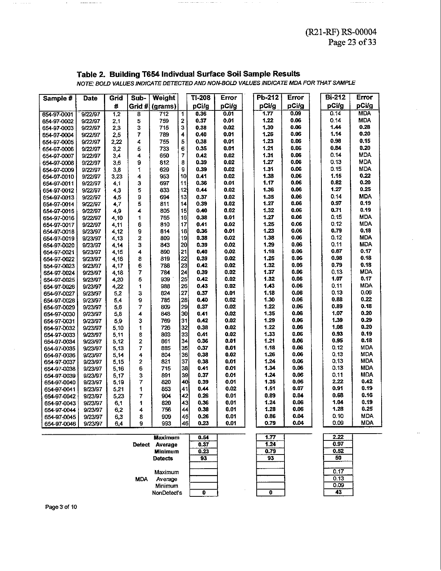$\cdots\cdots\cdots\cdots\cdots\cdots\cdots\cdots\cdots$ 

#### **Table 2. Building T654 lndivdual Surface Soil Sample Results**

|                            |                    |                         |        |                                                              |          |              |              |              |              | $(12.11)$ $100000$                                                                   | Page 23 of 33            |
|----------------------------|--------------------|-------------------------|--------|--------------------------------------------------------------|----------|--------------|--------------|--------------|--------------|--------------------------------------------------------------------------------------|--------------------------|
|                            |                    |                         |        |                                                              |          |              |              |              |              |                                                                                      |                          |
|                            |                    |                         |        |                                                              |          |              |              |              |              |                                                                                      |                          |
|                            |                    |                         |        |                                                              |          |              |              |              |              |                                                                                      |                          |
|                            |                    |                         |        | Table 2. Building T654 Indivdual Surface Soil Sample Results |          |              |              |              |              |                                                                                      |                          |
|                            |                    |                         |        |                                                              |          |              |              |              |              | NOTE: BOLD VALUES INDICATE DETECTED AND NON-BOLD VALUES INDICATE MDA FOR THAT SAMPLE |                          |
|                            |                    |                         |        |                                                              |          |              |              |              |              |                                                                                      |                          |
| Sample #                   | Date               | Grid                    | Sub-   | Weight                                                       |          | TI-208       | Error        | Pb-212       | Error        | <b>Bi-212</b>                                                                        | Error                    |
|                            |                    | 4                       |        | Grid # (grams)                                               |          | pCi/g        | pCi/g        | pCi/g        | pCi/g        | pCi/g                                                                                | pCi/g                    |
| 654-97-0001                | 9/22/97            |                         |        | 712                                                          | 1        | 0.36         | 0.01         | 1.77         | 0.09         | 0.14                                                                                 | <b>MDA</b>               |
| 654-97-0002                | 9/22/97            | $\overline{1,2}$<br>2,1 | 8<br>5 | 759                                                          | 2        | 0.37         | 0.01         | 1.22         | 0.06         | 0.14                                                                                 | <b>MDA</b>               |
| 654-97-0003                | 9/22/97            | 2,3                     | 3      | 715                                                          | 3        | 0.38         | 0.02         | 1.30         | 0.06         | 1.44                                                                                 | 0.28                     |
| 654-97-0004                | 9/22/97            | 2,5                     | 7      | 789                                                          | 4        | 0.40         | 0.01         | 1.26         | 0.06         | 1.14                                                                                 | 0.20                     |
| 654-97-0005                | 9/22/97            | 2,22                    | 4      | 755                                                          | 5        | 0.38         | 0.01         | 1.23         | 0.06         | 0.98                                                                                 | 0.15                     |
| 654-97-0006                | 9/22/97            | 3,2                     | 5      | 733                                                          | 6        | 0.35         | 0.01         | 1.21         | 0.06         | 0.84                                                                                 | 0.20                     |
| 654-97-0007                | 9/22/97            | 3,4                     | 4      | 650                                                          | 7        | 0.42         | 0.02         | 1.31         | 0.06         | 0.14                                                                                 | <b>MDA</b>               |
| 654-97-0008                | 9/22/97            | 3,6                     | 9      | 812                                                          | 8        | 0.39         | 0.02         | 1.27         | 0.06         | 0. 13                                                                                | <b>MDA</b>               |
| 654-97-0009                | 9/22/97            | 3,8                     | 1      | 629                                                          | 9        | 0.39         | 0.02         | 1.31         | 0.06         | 0.15                                                                                 | MDA                      |
| 654-97-0010                | 9/22/97            | 3,23                    | 4      | 953                                                          | 10       | 0.41         | 0.02         | 1.38         | 0.06         | 1.15                                                                                 | 0.22                     |
| 654-97-0011                | 9/22/97            | 4,1                     | з      | 697                                                          | 11       | 0.36         | 0.01         | 1.17         | 0.06         | 0.82                                                                                 | 0.20                     |
| 654-97-0012                | 9/22/97            | 4,3                     | 5      | 833                                                          | 12       | 0.44         | 0.02         | 1.36         | 0.06         | 1.27                                                                                 | 0.25                     |
| 654-97-0013                | 9/22/97            | 4,5                     | 9      | 694                                                          | 13       | 0.37         | 0.02         | 1.35         | 0.06         | 0.14                                                                                 | MDA                      |
| 654-97-0014                | 9/22/97            | 4,7                     | 5      | 811                                                          | 14       | 0.39         | 0.02         | 1,27         | 0.06         | 0.97                                                                                 | 0.19                     |
| 654-97-0015                | 9/22/97            | 4,9                     | 4      | 805                                                          | 15       | 0.40         | 0.02         | 1.32         | 0.06         | 0.71                                                                                 | 0.19                     |
| 654-97-0016                | 9/22/97            | 4,10                    | 1      | 765                                                          | 16       | 0.38         | 0.01         | 1.27         | 0.06         | 0.15                                                                                 | MDA                      |
| 654-97-0017                | 9/22/97            | 4,11                    | 6      | 810                                                          | 17       | 0.41         | 0.02         | 1.25         | 0.06         | 0.12                                                                                 | MDA                      |
| 654-97-0018                | 9/23/97            | 4,12                    | 9      | 814                                                          | 18       | 0.36         | 0.01         | 1.23         | 0.06         | 0.79                                                                                 | 0.18                     |
| 654-97-0019                | 9/23/97            | 4,13                    | 2      | 809                                                          | 19       | 0.38         | 0.02         | 1.38         | 0.06<br>0.06 | 0.12<br>0.11                                                                         | MDA<br><b>MDA</b>        |
| 654-97-0020                | 9/23/97            | 4,14                    | 3      | 843<br>890                                                   | 20<br>21 | 0.39<br>0.40 | 0.02<br>0.02 | 1.29<br>1.18 | 0.06         | 0.87                                                                                 | 0.17                     |
| 654-97-0021                | 9/23/97<br>9/23/97 | 4,15                    | 4<br>8 | 819                                                          | 22       | 0.39         | 0.02         | 1.25         | 0.06         | 0.98                                                                                 | 0.18                     |
| 654-97-0022<br>654-97-0023 | 9/23/97            | 4,16<br>4,17            | 6      | 738                                                          | 23       | 0.42         | 0.02         | 1.32         | 0.06         | 0.79                                                                                 | 0.18                     |
| 654-97-0024                | 9/23/97            | 4,18                    | 7      | 784                                                          | 24       | 0.39         | 0.02         | 1.37         | 0.06         | 0.13                                                                                 | <b>MDA</b>               |
| 654-97-0025                | 9/23/97            | 4,20                    | 5      | 939                                                          | 25       | 0.42         | 0.02         | 1.32         | 0.06         | 1.07                                                                                 | 0.17                     |
| 654-97-0026                | 9/23/97            | 4,22                    | 1      | 938                                                          | 26       | 0.43         | 0.02         | 1.43         | 0.06         | 0.11                                                                                 | MDA                      |
| 654-97-0027                | 9/23/97            | 5,2                     | 3      | 824                                                          | 27       | 0.37         | 0.01         | 1.18         | 0.06         | 0.13                                                                                 | 0.06                     |
| 654-97-0028                | 9/23/97            | 5,4                     | 9      | 785                                                          | 28       | 0.40         | 0.02         | 1.30         | 0.06         | 0.88                                                                                 | 0.22                     |
| 654-97-0029                | 9/23/97            | 5,6                     | 7      | 809                                                          | 29       | 0.37         | 0.02         | 1.22         | 0.06         | 0.89                                                                                 | 0.18                     |
| 654-97-0030                | 9/23/97            | 5,8                     | 4      | 848                                                          | 30       | 0.41         | 0.02         | 1.35         | 0.06         | 1.07                                                                                 | 0.20                     |
| 654-97-0031                | 9/23/97            | 5,9                     | 3      | 769                                                          | 31       | 0.42         | 0.02         | 1.29         | 0.06         | 1.39                                                                                 | 0.29                     |
| 654-97-0032                | 9/23/97            | 5,10                    | 1      | 726                                                          | 32       | 0.38         | 0.02         | 1.22         | 0.06         | 1.08                                                                                 | 0.20                     |
| 654-97-0033                | 9/23/97            | 5,11                    | 8      | 803                                                          | 33       | 0.41         | 0.02         | 1.33         | 0.06         | 0.93                                                                                 | 0.19                     |
| 654-97-0034                | 9/23/97            | 5,12                    | 2      | 861                                                          | 34       | 0.36         | 0.01         | 1.21         | 0.06         | 0.95                                                                                 | 0.18                     |
| 654-97-0035                | 9/23/97            | 5,13                    | 7      | 885                                                          | 35       | 0.37         | 0.01         | 1.18         | 0.06         | 0.12                                                                                 | MDA                      |
| 654-97-0036                | 9/23/97            | 5,14                    | 4      | 804                                                          | 36       | 0.38         | 0.02         | 1.26         | 0.06         | 0.13                                                                                 | MDA                      |
| 654-97-0037                | 9/23/97            | 5,15                    | 2      | 821                                                          | 37       | 0.38         | 0.01         | 1.24         | 0.06<br>0.06 | 0.13<br>0.13                                                                         | <b>MDA</b><br><b>MDA</b> |
| 654-97-0038                | 9/23/97            | 5,16                    | 6      | 715                                                          | 38       | 0.41         | 0.01         | 1.34<br>1.24 | 0.06         | 0.11                                                                                 | MDA                      |
| 654-97-0039                | 9/23/97            | 5,17                    | 3<br>7 | 891<br>820                                                   | 39<br>40 | 0.37<br>0.39 | 0.01<br>0.01 | 1.35         | 0.06         | 2.22                                                                                 | 0.42                     |
| 654-97-0040<br>654-97-0041 | 9/23/97<br>9/23/97 | 5.19<br>521             | 1      | 853                                                          | 41       | 0.44         | 0.02         | 1.51         | 0.07         | 0.91                                                                                 | 0.19                     |
| 654-97-0042                | 9/23/97            | 5,23                    | 7      | 904                                                          | 42       | 0.26         | 0.01         | 0.89         | 0.04         | 0.68                                                                                 | 0.16                     |
| 654-97-0043                | 9/23/97            | 6,1                     | 1      | 820                                                          | 43       | 0.36         | 0.01         | 1.24         | 0.06         | 1.04                                                                                 | 0.19                     |
| 654-97-0044                | 9/23/97            | 6,2                     | 4      | 756                                                          | 44       | 0.38         | 0.01         | 1.28         | 0.06         | 1.28                                                                                 | 0.25                     |
| 654-97-0045                | 9/23/97            | 6,3                     | 8      | 909                                                          | 45       | 0.26         | 0.01         | 0.86         | 0.04         | 0.10                                                                                 | MDA                      |
| 654-97-0046                | 9/23/97            | 6,4                     | 9      | 993                                                          | 46       | 0.23         | 0.01         | 0.79         | 0.04         | 0.09                                                                                 | <b>MDA</b>               |
|                            |                    |                         |        |                                                              |          |              |              |              |              |                                                                                      |                          |
|                            |                    |                         |        | Maximum                                                      |          | 0.54         |              | 1.77         |              | 2.22                                                                                 |                          |
|                            |                    |                         |        |                                                              |          |              |              |              |              |                                                                                      |                          |

 $\bar{\alpha}$ 



 $\overline{1.77}$  $1.24$  $0.79$  $\overline{93}$  $\overline{\mathbf{0}}$ 

| 2.22 |  |
|------|--|
| 0.97 |  |
| 0.52 |  |
| 50   |  |
|      |  |
| 0.17 |  |
| 0.13 |  |
| 0.09 |  |
|      |  |

للمتماز القار

 $\begin{array}{cccccccccccccc} \multicolumn{2}{c}{} & \multicolumn{2}{c}{} & \multicolumn{2}{c}{} & \multicolumn{2}{c}{} & \multicolumn{2}{c}{} & \multicolumn{2}{c}{} & \multicolumn{2}{c}{} & \multicolumn{2}{c}{} & \multicolumn{2}{c}{} & \multicolumn{2}{c}{} & \multicolumn{2}{c}{} & \multicolumn{2}{c}{} & \multicolumn{2}{c}{} & \multicolumn{2}{c}{} & \multicolumn{2}{c}{} & \multicolumn{2}{c}{} & \multicolumn{2}{c}{} & \multicolumn{2}{c}{} & \multicolumn{2}{c}{} & \$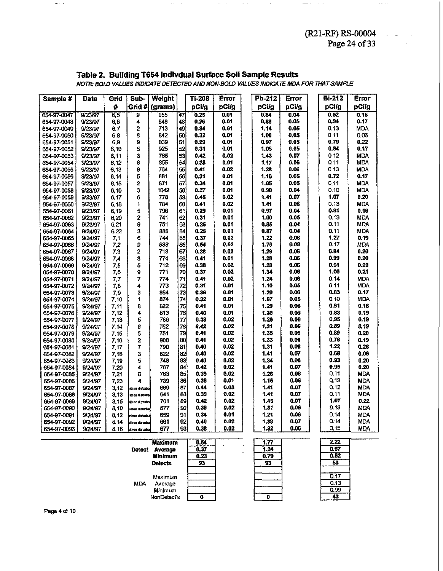$\omega = 1/\omega$  .

 $\sim$   $\sim$ 

 $\bar{\omega}$  .

| Sample #    | Date    | Grid  | Sub-                   | Weight  |    | <b>TI-208</b> | Error | $Pb-212$ | Error | <b>Bi-212</b> | <b>Error</b> |
|-------------|---------|-------|------------------------|---------|----|---------------|-------|----------|-------|---------------|--------------|
|             |         | 苷     | Grid #∫                | (grams) |    | pCi/g         | pCi/g | pCi/g    | pCi/g | pCi/g         | pCi/g        |
| 654-97-0047 | 8/23/97 | 6,5   | 9                      | 955     | 47 | 0.25          | 0.01  | 0.84     | 0.04  | 0.52          | 0.15         |
| 654-97-0048 | 9/23/97 | 6,6   | 4                      | 848     | 48 | 0.26          | 0.01  | 0.88     | 0.05  | 0,94          | 0.17         |
| 654-97-0049 | 9/23/97 | 6,7   | 2                      | 713     | 49 | 0.34          | 0.01  | 1.14     | 0.05  | 0.13          | <b>MDA</b>   |
| 654-97-0050 | 9/23/97 | 6,8   | 8                      | 842     | 50 | 0.32          | 0.01  | 1.00     | 0.05  | 0, 11         | 0.06         |
| 654-97-0051 | 9/23/97 | 6,9   | 9                      | 839     | 51 | 0.29          | 0.01  | 0.97     | 0.05  | 0.79          | 0.22         |
| 654-97-0052 | 9/23/97 | 6,10  | 5                      | 925     | 52 | 0.31          | 0.01  | 1.05     | 0.05  | 0.84          | 0.17         |
| 654-97-0053 | 9/23/97 | 6,11  | 3                      | 765     | 53 | 0.42          | 0.02  | 1.43     | 0.07  | 0,12          | <b>MDA</b>   |
| 654-97-0054 | 9/23/97 | 6,12  | 8                      | 855     | 54 | 0.38          | 0.01  | 1.17     | 0.06  | 0.11          | <b>MDA</b>   |
| 654-97-0055 | 9/23/97 | 6.13  | 9                      | 764     | 55 | 0.41          | 0.02  | 1.28     | 0.06  | 0.13          | <b>MDA</b>   |
| 654-97-0056 | 9/23/97 | 6, 14 | 5                      | 881     | 56 | 0.31          | 0.01  | 1.10     | 0.05  | 0.72          | 0.17         |
| 654-97-0057 | 9/23/97 | 6,15  | 2                      | 871     | 57 | 0.34          | 0.01  | 1.05     | 0.05  | 0.11          | <b>MDA</b>   |
| 654-97-0058 | 9/23/97 | 6,16  | 3                      | 1042    | 58 | 0.27          | 0.01  | 0.90     | 0.04  | 0.10          | MDA          |
| 654-97-0059 | 9/23/97 | 8,17  | 6                      | 778     | 59 | 0.45          | 0.02  | 1.41     | 0.07  | 1.07          | 0.20         |
| 654-97-0060 | 9/23/97 | 6.18  | 1                      | 784     | 60 | 0.41          | 0.02  | 1.41     | 0.06  | 0.13          | <b>MDA</b>   |
| 654-97-0061 | 9/23/97 | 6,19  | 5                      | 796     | 61 | 0.29          | 0.01  | 0.97     | 0.04  | 0.81          | 0.19         |
| 654-97-0062 | 9/23/97 | 6,20  | 2                      | 741     | 62 | 0.31          | 0.01  | 1.00     | 0.05  | 0.13          | <b>MDA</b>   |
| 654-97-0063 | 9/23/97 | 6,21  | 9                      | 751     | 63 | 0.25          | 0.01  | 0.85     | 0.04  | 0.11          | <b>MDA</b>   |
| 654-97-0064 | 9/24/97 | 6,22  | 3                      | 885     | 64 | 0.25          | 0.01  | 0.87     | 0.04  | 0.11          | <b>MDA</b>   |
| 654-97-0065 | 9/24/97 | 7,1   | 6                      | 744     | 65 | 0.37          | 0.02  | 1.22     | 0.06  | 1.27          | 0.19         |
| 654-97-0066 | 9/24/97 | 7,2   | 9                      | 688     | 66 | 0.54          | 0.02  | 1.70     | 0.08  | 0.17          | MDA          |
| 654-97-0067 | 9/24/97 | 7,3   | 2                      | 718     | 67 | 0.38          | 0.02  | 1.29     | 0.06  | 0.84          | 0.20         |
| 654-97-0068 | 9/24/97 | 7,4   | 8                      | 774     | 68 | 0.41          | 0.01  | 1.28     | 0.06  | 0.99          | 0.20         |
| 654-97-0069 | 9/24/97 | 7,5   | 5                      | 712     | 69 | 0.38          | 0.02  | 1.28     | 0.06  | 0.91          | 0.20         |
| 654-97-0070 | 9/24/97 | 7,6   | 9                      | 771     | 70 | 0.37          | 0.02  | 1.34     | 0.06  | 1.00          | 0.21         |
| 654-97-0071 | 9/24/97 | 7,7   | 7                      | 774     | 71 | 0.41          | 0.02  | 1.24     | 0.06  | 0.14          | <b>MDA</b>   |
| 654-97-0072 | 9/24/97 | 7,8   | 4                      | 773     | 72 | 0.31          | 0.01  | 1.10     | 0.05  | 0.11          | <b>MDA</b>   |
| 654-97-0073 | 9/24/97 | 7,9   | 3                      | 864     | 73 | 0.36          | 0.01  | 1.20     | 0.06  | 0.83          | 0.17         |
| 654-97-0074 | 9/24/97 | 7,10  | 1                      | 874     | 74 | 0.32          | 0.01  | 1.07     | 0.05  | 0.10          | <b>MDA</b>   |
| 654-97-0075 | 9/24/97 | 7,11  | 8                      | 822     | 75 | 0.41          | 0.01  | 1.29     | 0.06  | 0.91          | 0.18         |
| 654-97-0076 | 9/24/97 | 7,12  | 4                      | 813     | 76 | 0.40          | 0.01  | 1.30     | 0.06  | 0.83          | 0.19         |
| 654-97-0077 | 9/24/97 | 7.13  | 5                      | 786     | 77 | 0.38          | 0.02  | 1.26     | 0.06  | 0,95          | 0.19         |
| 654-97-0078 | 9/24/97 | 7,14  | 9                      | 762     | 78 | 0.42          | 0.02  | 1.31     | 0.06  | 0.89          | 0.19         |
| 654-97-0079 | 9/24/97 | 7,15  | 5                      | 751     | 79 | 0.41          | 0.02  | 1.35     | 0.06  | 0.89          | 0.20         |
| 654-97-0080 | 9/24/97 | 7,16  | 2                      | 800     | 80 | 0.41          | 0.02  | 1.33     | 0.06  | 0.76          | 0.19         |
| 654-97-0081 | 9/24/97 | 7,17  | 7                      | 790     | 81 | 0.40          | 0.02  | 1.31     | 0.06  | 1.22          | 0.26         |
| 654-97-0082 | 9/24/97 | 7,18  | 3                      | 822     | 82 | 0.40          | 0.02  | 1.41     | 0.07  | 0.68          | 0.09         |
| 654-97-0083 | 9/24/97 | 7,19  | 5                      | 748     | 83 | 0.40          | 0.02  | 1.34     | 0.06  | 0.93          | 0.20         |
| 654-97-0084 | 9/24/97 | 7,20  | 4                      | 767     | 84 | 0.42          | 0.02  | 1.41     | 0.07  | 0.95          | 0.20         |
| 654-97-0085 | 9/24/97 | 7,21  | 8                      | 763     | 85 | 0.39          | 0.02  | 1.26     | 0.06  | 0.11          | <b>MDA</b>   |
| 654-97-0086 | 9/24/97 | 7,23  | 4                      | 789     | 86 | 0.36          | 0.01  | 1.15     | 0.06  | 0.13          | <b>MDA</b>   |
| 654-97-0087 | 9/24/97 | 3,12  | <b>kithoe disturba</b> | 669     | 87 | 0.44          | 0.03  | 1.41     | 0.07  | 0.12          | <b>MDA</b>   |
| 654-97-0088 | 9/24/97 | 3,13  | .<br>Ekhoe disturba    | 641     | 88 | 0.39          | 0.02  | 1.41     | 0.07  | 0.11          | <b>MDA</b>   |
| 654-97-0089 | 9/24/97 | 3,15  | .<br>Ikhoe disturba    | 701     | 89 | 0.42          | 0.02  | 1.45     | 0.07  | 1.07          | 0.22         |
| 654-97-0090 | 9/24/97 | 8,10  | skhoe disturba         | 677     | 90 | 0.38          | 0.02  | 1.31     | 0.06  | 0.13          | <b>MDA</b>   |
| 654-97-0091 | 9/24/97 | 8,12  | xhoe disturbai         | 659     | 91 | 0.34          | 0.01  | 1.21     | 0.06  | 0.14          | <b>MDA</b>   |
| 654-97-0092 | 9/24/97 | 3,14  | ikhoe daluma           | 661     | 92 | 0.40          | 0.02  | 1,38     | 0.07  | 0.14          | MDA.         |
| 654-97-0093 | 9/24/97 | 8,16  | sinoe disturba         | 677     | 33 | 0.38          | 0.02  | 1.32     | 0.06  | 0,15          | MDA.         |

Table 2. Building T654 Indivdual Surface Soil Sample Results<br>NOTE: BOLD VALUES INDICATE DETECTED AND NON-BOLD VALUES INDICATE MDA FOR THAT SAMPLE

 $\alpha\beta\rightarrow\beta$ 

|               | <b>Maximum</b> | 0.54 |        | 1.77 | 2.22 |
|---------------|----------------|------|--------|------|------|
| <b>Detect</b> | Average        | 0.37 |        | 1.24 | 0,97 |
|               | <b>Minimum</b> | 0.23 |        | 0.79 | 0.52 |
|               | <b>Detects</b> | 93   |        | 93   | 50   |
|               | Maximum        |      |        |      | 0.17 |
| <b>MDA</b>    | Average        |      |        |      | 0.13 |
|               | Minimum        |      |        |      | 0.09 |
|               | NonDetect's    |      | $\sim$ |      | 43   |

Page 4 of 10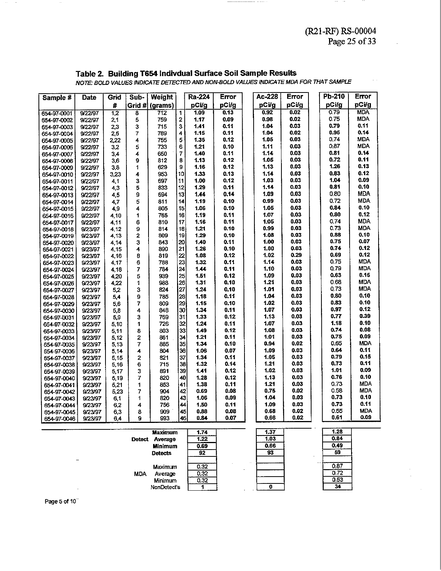## Table 2. Building T654 Indivdual Surface Soil Sample Results<br>NOTE: BOLD VALUES INDICATE DETECTED AND NON-BOLD VALUES INDICATE MDA FOR THAT SAMPLE

| Sample #                   | Date               | Grid             | Sub-   | Weight     |                | Ra-224       | Error        | Ac-228       | Error        | Pb-210       | Error        |
|----------------------------|--------------------|------------------|--------|------------|----------------|--------------|--------------|--------------|--------------|--------------|--------------|
|                            |                    | Ħ                | Grid # | (grams)    |                | pCi/g        | pCi/g        | pCi/g        | pCi/g        | pCi/g        | pCi/g        |
| 654-97-0001                | 9/22/97            | $\overline{1,2}$ | 8      | 712        | 1              | 1.09         | 0.13         | 0.92         | 0.02         | 0.79         | <b>MDA</b>   |
| 654-97-0002                | 9/22/97            | 2,1              | 5      | 759        | $\overline{2}$ | 1.17         | 0.09         | 0.98         | 0.02         | 0.75         | <b>MDA</b>   |
| 654-97-0003                | 9/22/97            | 2,3              | 3      | 715        | 3              | 1.41         | 0.11         | 1.04         | 0.03         | 0.79         | 0.11         |
| 654-97-0004                | 9/22/97            | 2,5              | 7      | 789        | 4              | 1.15         | 0.11         | 1.04         | 0.02         | 0.95         | 0.14         |
| 654-97-0005                | 9/22/97            | 2,22             | 4      | 755        | 5              | 1.35         | 0.12         | 1.05         | 0.03         | 0.74         | <b>MDA</b>   |
| 654-97-0006                | 9/22/97            | 3,2              | 5      | 733        | 6              | 1.21         | 0.10         | 1.11         | 0.03         | 0.87         | MDA          |
| 654-97-0007                | 9/22/97            | 3,4              | 4      | 650        | 7              | 1.40         | 0.11         | 1.14         | 0.03         | 0.81         | 0.14         |
| 654-97-0008                | 9/22/97            | 3,6              | 9      | 812        | 8              | 1.13         | 0.12         | 1.05         | 0.03         | 0.72         | 0.11         |
| 654-97-0009                | 9/22/97            | 3,8              | 1      | 629        | 9              | 1.16         | 0.12         | 1.13         | 0.03         | 1.26         | 0.13         |
| 654-97-0010                | 9/22/97            | 3,23             | 4      | 953        | 10             | 1.33         | 0.13         | 1.14         | 0.03         | 0.83         | 0.12         |
| 654-97-0011                | 9/22/97            | 4,1              | 3      | 697        | 11             | 1.00         | 0.12         | 1.03         | 0.03         | 1.04         | 0.09         |
| 654-97-0012                | 9/22/97            | 4,3              | 5      | 833        | 12             | 1.29         | 0.11         | 1.14         | 0.03         | 0.81         | 0.10         |
| 654-97-0013                | 9/22/97            | 4,5              | 9      | 694        | 13             | 1.44         | 0.14         | 1.09         | 0.03         | 0.80         | <b>MDA</b>   |
| 654-97-0014                | 9/22/97            | 4,7              | 5      | 811        | 14             | 1.19         | 0.10         | 0.99         | 0.03         | 0.72         | <b>MDA</b>   |
| 654-97-0015                | 9/22/97            | 4,9              | 4      | 805        | 15             | 1.06         | 0.10         | 1.05         | 0.03         | 0.84         | 0.10         |
| 654-97-0016                | 9/22/97            | 4,10             | 1      | 765        | 16             | 1.19         | 0.11         | 1.07         | 0.03         | 0.80         | 0.12         |
| 654-97-0017                | 9/22/97            | 4.11             | 6      | 810        | 17             | 1.16         | 0.11         | 1.05         | 0.03         | 0.74         | <b>MDA</b>   |
| 654-97-0018                | 9/23/97            | 4,12             | 9      | 814        | 18             | 1.21         | 0.10         | 0.99         | 0.03         | 0.73         | <b>MDA</b>   |
| 654-97-0019                | 9/23/97            | 4,13             | 2      | 809        | 19             | 1.29         | 0.10         | 1.08         | 0.03         | 0.88         | 0.10         |
| 654-97-0020                | 9/23/97            | 4.14             | 3      | 843        | 20             | 1.40         | 0.11         | 1.00         | 0.03         | 0.75         | 0.07         |
| 654-97-0021                | 9/23/97            | 4,15             | 4      | 890        | 21             | 1.26         | 0.10         | 1.00         | 0.03         | 0.74         | 0.12         |
| 654-97-0022                | 9/23/97            | 4.16             | 8      | 819        | 22             | 1.08         | 0.12         | 1.02         | 0.29         | 0.69         | 0.12         |
| 654-97-0023                | 9/23/97            | 4,17             | 6      | 788        | 23             | 1.32         | 0.11         | 1.14         | 0.03         | 0.75         | <b>MDA</b>   |
| 654-97-0024                | 9/23/97            | 4,18             | 7      | 784        | 24             | 1.44         | 0.11         | 1.10         | 0.03         | 0.79         | <b>MDA</b>   |
| 654-97-0025                | 9/23/97            | 4,20             | 5      | 939        | 25             | 1.51         | 0.12         | 1.09         | 0.03         | 0.63         | 0.15         |
| 654-97-0026                | 9/23/97            | 4,22             | 1      | 988        | 26             | 1.31         | 0.10         | 1.21         | 0.03         | 0.68         | <b>MDA</b>   |
| 654-97-0027                | 9/23/97            | 5,2              | 3      | 824        | 27             | 1.24         | 0.10         | 1.01         | 0.03         | 0.73         | <b>MDA</b>   |
| 654-97-0028                | 9/23/97            | 5,4              | 9      | 785        | 28             | 1.18         | 0.11         | 1.04         | 0.03         | 0.80         | 0.10         |
| 654-97-0029                | 9/23/97            | 5,6              | 7      | 309        | 29             | 1.15         | 0.10         | 1.02         | 0.03         | 0.83         | 0.10         |
| 654-97-0030                | 9/23/97            | 5,8              | 4      | 848        | 30             | 1.34         | 0.11         | 1.07         | 0.03         | 0.97         | 0.12<br>0.39 |
| 654 97 0031                | 9/23/97            | 5,9              | 3      | 769        | 31             | 1.33         | 0.12         | 1.13         | 0.03         | 0.77         |              |
| 654-97-0032                | 9/23/97            | 5,10             | 1      | 726        | 32             | 1.24         | 0.11         | 1.07         | 0.03         | 1.18<br>0.74 | 0.10<br>0.08 |
| 654-97-0033                | 9/23/97            | 5,11             | 8      | 803        | 33             | 1.49         | 0.12         | 1.08<br>1.01 | 0.03<br>0.03 | 0.75         | 0.09         |
| 654-97-0034                | 9/23/97            | 5,12             | 2      | 361        | 34             | 1.21         | 0.11<br>0.10 | 0.94         | 0.02         | 0.65         | <b>MDA</b>   |
| 654-97-0035                | 9/23/97            | 5,13             | 7      | 385        | 35             | 1.34         | 0.07         | 1.09         | 0.03         | 0.64         | 0.11         |
| 654-97-0036                | 9/23/97            | 5.14             | 4      | 804        | 36             | 1.06         | 0.11         | 1.05         | 0.03         | 0.79         | 0.15         |
| 654-97-0037                | 9/23/97            | 5.15             | 2<br>6 | 821<br>715 | 37<br>38       | 1.34<br>1.32 | 0.14         | 1.21         | 0.03         | 0.73         | 0.11         |
| 654-97-0038                | 9/23/97            | 5.16             |        |            | 39             | 1.41         | 0.12         | 1.02         | 0.03         | 1.01         | 0.09         |
| 654-97-0039                | 9/23/97<br>9/23/97 | 5,17<br>5,19     | 3<br>7 | 891<br>820 | 40             | 1.28         | 0.12         | 1.13         | 0.03         | 0.76         | 0.10         |
| 654-97-0040                | 9/23/97            |                  | 1      | 853        | 41             | 1.38         | 0.11         | 1.21         | 0.03         | 0.73         | <b>MDA</b>   |
| 654-97-0041<br>654-97-0042 | 9/23/97            | 5,21<br>5,23     | 7      | 904        | 42             | 0.69         | 0.08         | 0.75         | 0.02         | 0.58         | MDA          |
| 654-97-0043                | 9/23/97            | 6,1              | 1      | 820        | 43             | 1.06         | 0.09         | 1.04         | 0.03         | 0.73         | 0.10         |
| 654-97-0044                | 9/23/97            | 6,2              | 4      | 756        | 44             | 1.50         | 0.11         | 1.09         | 0.03         | 0.73         | 0.11         |
| 654-97-0045                | 9/23/97            | 6,3              | 8      | 909        | 45             | 0.88         | 0.08         | 0.68         | 0.02         | 0.55         | <b>MDA</b>   |
| 654-97-0046                | 9/23/97            | 6.4              | 9      | 993        | 46             | 0.84         | 0.07         | 0.66         | 0.02         | 0.61         | 0.09         |

|               | <b>Maximum</b> | 1.74 |                      | 1.37 |                      | 1.28 |
|---------------|----------------|------|----------------------|------|----------------------|------|
| <b>Detect</b> | Average        | 1.22 |                      | 1.03 |                      | 0.84 |
|               | <b>Minimum</b> | 0.69 |                      | 0.66 |                      | 0.49 |
|               | <b>Detects</b> | 92   |                      | 93   | $\ddot{\phantom{a}}$ | 59   |
|               | Maximum        | 0.32 | $\ddot{\phantom{a}}$ |      |                      | 0.87 |
| <b>MDA</b>    | Average        | 0.32 |                      |      |                      | 0,72 |
|               | Minimum        | 0.32 |                      |      |                      | 0.53 |
|               | NonDetect's    |      |                      |      |                      | 34   |

Page 5 of 10<sup>-</sup>

 $\sim$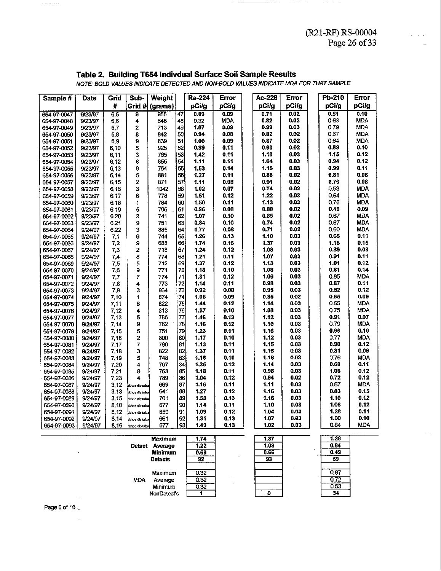$1.28$  $0.84$  $0.49$ 

 $\overline{59}$  $0.87$  $0.72$  $0.53$  $\overline{34}$ 

#### Table 2. Building T654 Indivdual Surface Soil Sample Results

| Sample #                   | <b>Date</b>        | Grid         | Sub-           | Weight     |          | Ra-224       | Error        | Ac-228       | Error        | Pb-210       | Error              |
|----------------------------|--------------------|--------------|----------------|------------|----------|--------------|--------------|--------------|--------------|--------------|--------------------|
|                            |                    | #            | Grid #         | (grams)    |          | pCi/g        | pCi/g        | pCi/g        | pCi/g        | pCi/g        | pCi/g              |
| 654-97-0047                | 9/23/97            | 6,5          | g              | 955        | 47       | 0.89         | 0.09         | 0.71         | 0.02         | 0.51         | 0.10               |
| 654-97-0048                | 9/23/97            | 6,6          | 4              | 848        | 48       | 0.32         | <b>MDA</b>   | 0.82         | 0.02         | 0.63         | <b>MDA</b>         |
| 654-97-0049                | 9/23/97            | 6,7          | 2              | 713        | 49       | 1.07         | 0.09         | 0.99         | 0.03         | 0.79         | <b>MDA</b>         |
| 654-97-0050                | 9/23/97            | 6,8          | 8              | 842        | 50       | 0.94         | 0.08         | 0.82         | 0.02         | 0.67         | <b>MDA</b>         |
| 654-97-0051                | 9/23/97            | 6,9          | 9              | 839        | 51       | 1.00         | 0.09         | 0.87         | 0.02         | 0,64         | <b>MDA</b>         |
| 654-97-0052                | 9/23/97            | 6.10         | 5              | 925        | 52       | 0.99         | 0.11         | 0.90         | 0.02         | 0.89         | 0.10               |
| 654 97 0053                | 9/23/97            | 6,11         | 3              | 765        | 53       | 1.42         | 0.11         | 1.10         | 0.03         | 1.15         | 0.12               |
| 654 97 0054                | 9/23/97            | 6,12         | 8              | 855        | 54       | 1.11         | 0.11         | 1.04         | 0.03         | 0.94         | 0.12               |
| 654-97-0055                | 9/23/97            | 6,13         | 9              | 764        | 55       | 1.53         | 0.14         | 1.15         | 0.03         | 0.99         | 0.11               |
| 654-97-0056                | 9/23/97            | 6.14         | 5              | 881        | 56       | 1.27         | 0.11         | 0.88         | 0.02         | 0.81         | 0.08               |
| 654-97-0057                | 9/23/97            | 6,15         | 2              | 871        | 57       | 1.11         | 0.08         | 0.91         | 0.02         | 0.76         | 0.08               |
| 654-97-0058                | 9/23/97            | 6,16         | 3              | 1042       | 58       | 1.02         | 0.07         | 0.74         | 0.02         | 0.53         | <b>MDA</b>         |
| 654-97-0059                | 9/23/97            | 6,17         | 6              | 778        | 59       | 1.51         | 0.12         | 1,22         | 0.03         | 0.64         | <b>MDA</b>         |
| 654-97-0060                | 9/23/97            | 6,18         | 1              | 784        | 60       | 1.50         | 0.11         | 1.13         | 0.03         | 0.76         | <b>MDA</b>         |
| 654-97-0061                | 9/23/97            | 6,19         | 5              | 796        | 61       | 0.96         | 0.08         | 0.80         | 0.02         | 0.49         | 0.09               |
| 654-97-0062                | 9/23/97            | 6,20         | $\overline{2}$ | 741        | 62       | 1.07         | 0.10         | 0.85         | 0.02         | 0.67         | <b>MDA</b>         |
| 654-97-0063                | 9/23/97            | 6,21         | 9              | 751        | 63       | 0.84         | 0.10         | 0.74         | 0.02         | 0.67         | <b>MDA</b>         |
| 654-97-0064                | 9/24/97            | 6,22         | 3              | 885        | 64       | 0.77         | 0.08         | 0.71         | 0.02         | 0.60         | MDA                |
| 654-97-0065                | 9/24/97            | 7.1          | 6              | 744        | 65       | 1.26         | 0.13         | 1.10         | 0.03         | 0.65         | 0.11               |
| 654-97-0066                | 9/24/97            | 7,2          | 9              | 688        | 66       | 1.74         | 0.16         | 1.37         | 0.03         | 1.18         | 0.15               |
| 654-97-0067                | 9/24/97            | 7,3          | $\overline{2}$ | 718        | 67       | 1.24         | 0.12         | 1.08         | 0.03         | 0.89         | 0.08               |
| 654-97-0068                | 9/24/97            | 7,4          | 8              | 774        | 68       | 1.21         | 0.11         | 1.07         | 0.03         | 0.91         | 0.11               |
| 654-97-0069                | 9/24/97            | 7,5          | 5              | 712        | 69       | 1.37         | 0.12         | 1.13         | 0.03         | 1.01         | 0.12               |
| 654-97-0070                | 9/24/97            | 7,6          | 9              | 771        | 70       | 1.18         | 0.10         | 1.08         | 0.03         | 0.81         | 0.14               |
| 654-97-0071                | 9/24/97            | 7,7          | 7              | 774        | 71       | 1.31         | 0.12         | 1.06         | 0.03         | 0.85         | <b>MDA</b>         |
| 654-97-0072                | 9/24/97            | 7,8          | 4              | 773        | 72       | 1.14         | 0.11         | 0.98         | 0.03         | 0.87         | 0.11               |
| 654-97-0073                | 9/24/97            | 7,9          | 3              | 864        | 73       | 0.92         | 0.08         | 0.95         | 0.03         | 0.52         | 0.12               |
| 654-97-0074                | 9/24/97            | 7,10         | 1              | 874        | 74       | 1.05         | 0.09         | 0.85         | 0.02         | 0.65         | 0.09               |
| 654-97-0075                | 9/24/97            | 7,11         | 8              | 822        | 75       | 1.44         | 0.12         | 1.14         | 0.03         | 0.65         | <b>MDA</b>         |
| 654 97 0076                | 9/24/97            | 7.12         | 4              | 813        | 76       | 1.27         | 0.10         | 1.08         | 0.03         | 0.75<br>0.91 | <b>MDA</b><br>0.07 |
| 654-97-0077                | 9/24/97            | 7.13         | 5              | 786        | 77       | 1.46         | 0.13         | 1.12         | 0.03         |              | <b>MDA</b>         |
| 654-97-0078                | 9/24/97            | 7,14         | 9              | 762        | 78       | 1.16         | 0.12         | 1.10<br>1.16 | 0.03<br>0.03 | 0.79<br>0.96 | 0.10               |
| 654-97-0079                | 9/24/97            | 7,15         | 5              | 751        | 79       | 1.23<br>1.17 | 0.11<br>0.10 | 1.12         | 0.03         | 0.77         | <b>MDA</b>         |
| 654-97-0080                | 9/24/97<br>9/24/97 | 7,16<br>7.17 | 2<br>7         | 800<br>790 | 80<br>81 | 1.13         | 0.11         | 1.15         | 0.03         | 0.90         | 0.12               |
| 654-97-0081<br>654-97-0082 |                    | 7,18         | 3              | 822        | 82       | 1.37         | 0.11         | 1.16         | 0.03         | 0.81         | 0.09               |
| 654-97-0083                | 9/24/97<br>9/24/97 | 7,19         | 5              | 748        | 83       | 1.16         | 0.10         | 1.16         | 0.03         | 0.76         | <b>MDA</b>         |
| 654-97-0084                | 9/24/97            | 7,20         | 4              | 767        | 84       | 1.35         | 0.12         | 1.14         | 0.03         | 0.60         | 0.11               |
| 654-97-0085                | 9/24/97            | 7,21         | 8              | 763        | 85       | 1.18         | 0.11         | 0.98         | 0.03         | 1.06         | 0.12               |
| 654-97-0086                | 9/24/97            | 7,23         | 4              | 789        | 86       | 1.04         | 0.12         | 0.94         | 0.02         | 0.72         | 0.12               |
| 654-97-0087                | 9/24/97            | 3,12         | khoe disturba  | 669        | 87       | 1.16         | 0.11         | 1.11         | 0.03         | 0.87         | <b>MDA</b>         |
| 654-97-0088                | 9/24/97            | 3,13         | khoe disturba  | 641        | 88       | 1.27         | 0.12         | 1.16         | 0.03         | 0.83         | 0.15               |
| 654-97-0089                | 9/24/97            | 3,15         | khoe distuba   | 701        | 89       | 1.53         | 0.13         | 1.16         | 0.03         | 1.10         | 0.12               |
| 654-97-0090                | 9/24/97            | 8,10         | khoe disturba  | 677        | 90       | 1.14         | 0.11         | 1.10         | 0.03         | 1.06         | 0.12               |
| 654-97-0091                | 9/24/97            | 8,12         | khoe disturba  | 659        | 91       | 1.09         | 0.12         | 1.04         | 0.03         | 1.28         | 0.14               |
| 654-97-0092                | 9/24/97            | 8,14         | khoe disturba  | 661        | 92       | 1.31         | 0.13         | 1.07         | 0.03         | 1.00         | 0.10               |
| 654-97-0093                | 9/24/97            | 8,16         | kkhoe cisturba | 677        | 93       | 1.43         | 0.13         | 1.02         | 0.03         | 0.84         | <b>MDA</b>         |
|                            |                    |              |                |            |          |              |              |              |              |              |                    |

NOTE: BOLD VALUES INDICATE DETECTED AND NON-BOLD VALUES INDICATE MDA FOR THAT SAMPLE

 $\sim$ 

| Maximum<br><b>Detect</b><br>Average<br><b>Minimum</b> | 1.74<br>1.22<br>0.69 |     | 1.37<br>1.03<br>0.66 |  |
|-------------------------------------------------------|----------------------|-----|----------------------|--|
| Detects                                               | 92                   |     | 93                   |  |
| Maximum                                               | 0.32                 | . . |                      |  |
| <b>MDA</b><br>Average                                 | 0.32                 |     |                      |  |
| Minimum                                               | 0.32                 | ÷   |                      |  |
| NonDetect's                                           |                      |     |                      |  |

Page 6 of 10  $\mathbb T$ 

 $\overline{\phantom{a}}$ 

 $\mathbb{R}^2$ 

 $\mathbf{r}$ 

 $\sim$  -commutation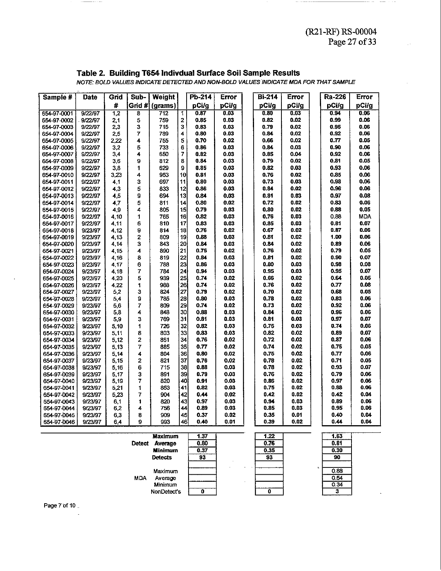$0.30$ 90  $0.88$  $0.54$  $034$ 3

#### **Table 2. Building T654 lndivdual Surface Soil Sample Results**

 $(121 - R)$ <br>P<br>ults<br>MDA FOR THAT<br>Error<br>pCi/g  $\frac{1}{1000004}$ <br>-<br>From<br>pCi/g 4 Indivdual :<br>*TE DETECTED A*<br>Veight | Pb<br>Irams) | Pl e Soil Samp<br>-BOLD VALUES<br>Error | | B<br>nCi/g | F **ults**<br> **Error**<br> **pCi/g**<br> **pCi/g**<br> **pCi/g**<br> **pCi/g**<br> **pCi/g**<br> **pCi/g**<br> **pCi/g**<br> **pCi/g**<br> **pCi/g**<br> **pCi/g**<br> **pCi/g Error**<br> **pCi/g**<br> **0.06**<br> **0.06 Building**<br>VALUES IND<br>Grid Sub **4 Indivdual:**<br>
FE DETECTED A<br> **Veight**<br> **Pharms)**<br>  $\begin{array}{c|c} \hline \text{Pb} & \text{Pb} \\ \hline \text{712} & 1 & 0 \\ \hline \text{759} & 2 & 0 \end{array}$ Building<br>
VALUES INI<br>
Grid Sub<br>
# Grid<br>  $\frac{4}{1.2}$  8<br>
2.1 Sample # **Date Grid Weight Error Error Error**  pCUg 654-97-0001 9/22/97 712 **0.03**   $0.80$ **0.03 0.06**  12 759 **0.03**  0.82 **0.02 0.06**  654-97-0002 9/22/97 2.1 654-97-0003 9/22/97 2,3 3 715 **0.03**  0.79 **0.02 0.06**   $\overline{7}$ **0.03 0.02 0.06**  654-97-0004 9/22/97 2.5 789 4  $0.80$ 0.84 0.92 654-97-0005 9/22/97 2.22 4 755 5 0.70 **0.02**  0.66 **0.02**   $0.77$ **0.05**  5 0.86 **0.03**  0.84 **0.03**  0.90 **0.06**  654-97-0006 9/22/97 32 733 6 654-97-0007 9/22/97 3,4  $\overline{\mathbf{4}}$ 650  $\overline{7}$  $0.82$ **0.03**  0.85 **0.M**  0.92 **0.06**  0.02 **0.05**  654-97-0008 9/22/97 9 812 Ŕ. 0.84 **0.03**   $0.79$  $0.81$ 3.6 654-97-0009 9/22/97 33  $\ddot{\phantom{a}}$ 629 9 0.85 **0.03**   $0.82$ **0.03**  0.93 **0.06**  654-97-0010 9/22/97 3.23  $\overline{\mathbf{A}}$ 953 10  $0.81$ **0.03**  0.76 **0.02**  0.85 **0.06**  3 0.80 **0.03**  0.73 **0.03**  0.98 **0.06**  654-97-0011 9/22/97 697 11 4,1 5  $12$ 0.86 **0.03**  0.84 **0.02**  0.96 **0.06**  654-97-0012 9/22/97 4.3 833  $13$ 9 **0.03 0.03 0.08**  654-97-0013 9/22/97 **4.5**  694 0.84  $0.81$ 0.97 654-97-0014 9/22/97 4.7 5 811  $14$ 0.80 **0.02**  0.72 **0.02**   $0.83$ **0.06**  654-97-0015 9/22/97 4,9 4 805 15 0.79 **0.03**   $0.80$ **0.02**  0.88 **0.05**  16 **0.03**  0.76 **0.03**  0.88 **MDA**  654-97-0016 9/22/97 4,lO  $\mathbf{1}$ 765 0.82 654-97-0017 9/22/97 4.11 6 810  $17$ 0.83 **0.03**  0.85 **0.03**   $0.81$ 0.07 654-97-0018 9/23/97 4.12 9 814  $18$ 0.76 **0.02**  0.67 **0.02**   $0.87$ **0.06**  654-97-0019 4.13  $\overline{2}$ 809 19  $0.88$ **0.03**  0.81 **0.02**  1.00 **0.06**  9/23/97 9/23/97 3 843 20  $0.84$ **0.03**  0.84 **0.02**  0.89 **0.06**  654-97-0020 4.14 890 21  $0.75$ **0.02**   $0.76$ **0.02**  0.79 **0.05**  654-97-0021 9/23/97 4.15 4 654-97-0022 9/23/97 4,16 8 819  $22$ 0.84 **0.03**   $0.81$ **0.02**  0.90 **0.07**  23 654-97-0023 9/23/97 4.17 6 788 0.86 **0.03**  0.80 **0.03**  0.98 **0.08**   $\overline{7}$  $24$  $0.94$ **0.03**  0.95 **0.03**  0.95 **0.07**  784 654-97-0024 9/23/97 4.18 654-97-0025 9/23/97 4.20 5 939 25 0.74 **0.02**  0.66 **0.02**  0.64 **0.05**  26 **0.08**  654-97-0026 9/23/97 4.22  $\mathbf{1}$ 988 0.74 **0.02**  0.76 **0.02**   $0.77$ 27 **0.05**  654-97-0027 9/23/97 5.2 3 824 0.79 **0.02**  0.70 **0.02**   $0.68$ 28 654-97-0028 9/23/97 5.4 9 **785**   $0.80$ **0.03**  0.78 **0.02**   $0.83$ **0.06**   $\overline{7}$ 809 29 0.74 **0.02 0.02**   $0.92$ **0.06**  654-97-0029 9/23/97 5.6 0.73 654-97-0030 9/23/97  $5.8$ 4 **e48**  30 0.88 **0.03**  0.84 **0.02**  0.96 **0.06 0.07**   $\overline{3}$ 769 31 0.81 **0.03**  0.81 **0.03**  0.97 654-97-0031 9/23/97 5.9 654-97-0032 9/23/97 5,lO  $\overline{\mathbf{1}}$ 726 32  $0.82$ **0.03**  0.75 **0.03**   $0.74$ **0.06**  33 654-97-0033 9/23/97 5.11 8 803  $0.83$ **0.03**  0.82 **0.02**  0.89 **0.07**  654-97-0034 5.12  $\overline{2}$ 861 34 0.76 **0.02**  0.72 **0.02**   $0.87$ **0.06**  9/23/97 654-97-0035 9/23/97 5.13  $\overline{7}$ 885 35  $0.77$ **0.02**  0.74 0.02  $0.75$ **0.05**  36 0.75 **0.02**   $0.77$ **0.06**  654-97-0036 9/23/97 5.14 4 804 0.80 **0.02**  654-97-0037  $\overline{2}$ 821 37 0.76 **0.02**   $0.78$ **0.02**   $0.71$ **0.05**  9/23/97 515 38 654-97-0038 9/23/97 5,16 6 715 0.88 **0.03**  0.78 **0.02 0.07**   $\begin{array}{c|c} 0.02 \ 0.02 \ 0.02 \ 0.02 \ 0.02 \ 0.03 \ 0.03 \ 0.01 \ 0.02 \end{array}$  $\begin{array}{c} 0.07 \\ 0.06 \\ 0.06 \\ 0.06 \\ 0.04 \\ 0.06 \\ 0.06 \\ 0.04 \\ 0.04 \end{array}$ 654-97-0039 **0.02 0.06**  9/23/97 5.17 3 891 39<br>820 40<br>853 41<br>904 42<br>820 443<br>756 909 45<br>993 46<br>993 46 891  $\begin{array}{c|c} 0.03 & 0.03 \ 0.03 & 0.02 \ 0.03 & 0.03 \ 0.02 & 0.01 \ \hline \end{array}$ **om**   $0.76$ 654-97-0040 9/23/97  $\overline{7}$ **820 0.03**  0.86 **0.02 0.06**  \$19 **853 0.03**  0.75 **0.02 0.06**  654-97-0041 9/23/97 521 1 654-97-0042 9/23/97 5.23  $\overline{7}$ 904 **0.02**   $0.42$ **0.02 0.M**  654-97-0043 9/23/97 6.1  $\mathbf{1}$ **m 0.03**  0.94 **0.03 0.06**  654-97-0044 9/23/97 62 4 756 **0.03**  0.85 **0.03 0.06**  654-97-0045 9/23/97 6.3 8 909 **0.02**  0.35 **0.01 0.M**  0.39 654-97-0046 9/23/97 6.4 9

**NOTE: BOLD VALUES INDICATE DETECTED AND NON-BOLD VALUES INDICATE MDA FOR THATSAMPLE** 

| <b>Detect</b> | Maximum<br>Average<br>Minimum<br><b>Detects</b> | 1.37<br>0.80<br>0.37<br>93 | 1.22<br>0.76<br>0.35<br>93 |  |
|---------------|-------------------------------------------------|----------------------------|----------------------------|--|
| <b>MDA</b>    | Maximum<br>Average<br>Minimum<br>NonDetect's    |                            |                            |  |

Page 7 of 10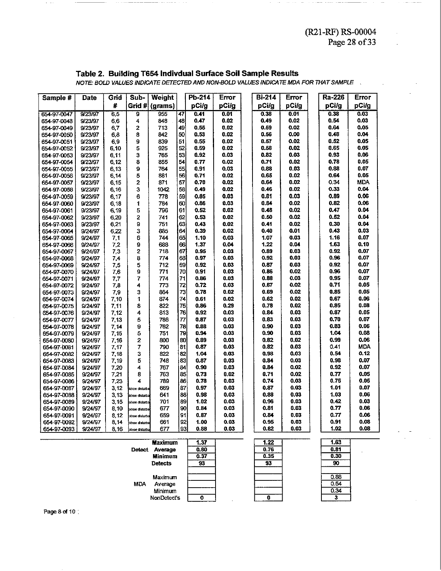#### **Table 2. Building T654 lndivdual Surface Soil Sample Results**

|             | $(12.111)$ $1000001$                                         |       |                     |                    |                       |               |       |  |                  |       |                                                                                      |               |
|-------------|--------------------------------------------------------------|-------|---------------------|--------------------|-----------------------|---------------|-------|--|------------------|-------|--------------------------------------------------------------------------------------|---------------|
|             |                                                              |       |                     |                    |                       |               |       |  |                  |       |                                                                                      | Page 28 of 33 |
|             |                                                              |       |                     |                    |                       |               |       |  |                  |       |                                                                                      |               |
|             |                                                              |       |                     |                    |                       |               |       |  |                  |       |                                                                                      |               |
|             |                                                              |       |                     |                    |                       |               |       |  |                  |       |                                                                                      |               |
|             | Table 2. Building T654 Indivdual Surface Soil Sample Results |       |                     |                    |                       |               |       |  |                  |       |                                                                                      |               |
|             |                                                              |       |                     |                    |                       |               |       |  |                  |       |                                                                                      |               |
|             |                                                              |       |                     |                    |                       |               |       |  |                  |       | NOTE: BOLD VALUES INDICATE DETECTED AND NON-BOLD VALUES INDICATE MDA FOR THAT SAMPLE |               |
|             |                                                              |       |                     |                    |                       |               |       |  |                  |       |                                                                                      |               |
| Sample #    | Date                                                         | Grid  | Sub-                | Weight             |                       | Pb-214        | Error |  | <b>Bi-214</b>    | Error | Ra-226                                                                               | <b>Error</b>  |
|             |                                                              | #     |                     | Grid # (grams)     |                       | pCi/g         | pCi/g |  | pCi/g            | pCi/g | pCi/g                                                                                | pCi/g         |
| 654-97-0047 | 9/23/97                                                      | 6,5   | 9                   | 955                | 47                    | 0.41          | 0.01  |  | 0.38             | 0.01  | 0.38                                                                                 | 0.03          |
|             | 9/23/97                                                      |       | 4                   | 848                | 48                    | 0.47          | 0.02  |  | 0.49             | 0.02  | 0.54                                                                                 | 0.03          |
| 654-97-0048 |                                                              | 6,6   |                     | 713                | 49                    | 0.55          | 0.02  |  | 0.59             | 0.02  | 0.64                                                                                 | 0.05          |
| 654-97-0049 | 9/23/97                                                      | 6,7   | 2                   |                    |                       |               |       |  |                  | 0.00  | 0.48                                                                                 | 0.04          |
| 654-97-0050 | 9/23/97                                                      | 6,8   | 8                   | 842                | 50                    | 0.53          | 0.02  |  | 0.56             |       |                                                                                      | 0.05          |
| 654-97-0051 | 9/23/97                                                      | 6,9   | 9                   | 839                | 51                    | 0.55          | 0.02  |  | 0.57             | 0.02  | 0.52                                                                                 |               |
| 654-97-0052 | 9/23/97                                                      | 6,10  | 5                   | 925                | 52                    | 0.59          | 0.02  |  | 0.58             | 0.02  | 0.65                                                                                 | 0.05          |
| 654 97 0053 | 9/23/97                                                      | 6,11  | 3                   | 765                | 53                    | 0.92          | 0.03  |  | 0.82             | 0.03  | 0.93                                                                                 | 0.06          |
| 654 97 0054 | 9/23/97                                                      | 6, 12 | 8                   | 855                | 54                    | 0.77          | 0.02  |  | 0.71             | 0.02  | 0.78                                                                                 | 0.05          |
| 654-97-0055 | 9/23/97                                                      | 6,13  | 9                   | 764                | 55                    | 0.91          | 0.03  |  | 0.88             | 0.03  | 0.88                                                                                 | 0.07          |
| 654-97-0056 | 9/23/97                                                      | 6,14  | 5                   | 881                | 56                    | 0.71          | 0.02  |  | 0.65             | 0.02  | 0.64                                                                                 | 0.05          |
| 654-97-0057 | 9/23/97                                                      | 6,15  | $\overline{2}$      | 871                | 57                    | 0.70          | 0.02  |  | 0.64             | 0.02  | 0.34                                                                                 | <b>MDA</b>    |
| 654-97-0058 | 9/23/97                                                      | 6,16  | 3                   | 1042               | 58                    | 0.49          | 0.02  |  | 0.46             | 0.02  | 0.33                                                                                 | 0.04          |
| 654-97-0059 | 9/23/97                                                      | 6,17  | 6                   | 778                | 59                    | 0.85          | 0.03  |  | 0.81             | 0.03  | 0.89                                                                                 | 0.06          |
| 654-97-0060 | 9/23/97                                                      | 6,18  | 1                   | 784                | 60                    | 0.86          | 0.03  |  | 0.84             | 0.02  | 0.82                                                                                 | 0.06          |
| 654-97-0061 | 9/23/97                                                      | 6,19  | 5                   | 796                | 61                    | 0.52          | 0.02  |  | 0.48             | 0.02  | 0.47                                                                                 | 0.04          |
| 654-97-0062 | 9/23/97                                                      | 6,20  | 2                   | 741                | 62                    | 0.53          | 0.02  |  | 0.50             | 0.02  | 0.52                                                                                 | 0.04          |
| 654-97-0063 | 9/23/97                                                      | 6,21  | 9                   | 751                | 63                    | 0.43          | 0.02  |  | 0.41             | 0.02  | 0.30                                                                                 | 0.04          |
| 654-97-0064 | 9/24/97                                                      | 6,22  | 3                   | 885                | 64                    | 0.39          | 0.02  |  | 0.40             | 0.01  | 0.43                                                                                 | 0.03          |
| 654-97-0065 | 9/24/97                                                      | 7,1   | 6                   | 744                | 65                    | 1.10          | 0.03  |  | 1.07             | 0.03  | 1.16                                                                                 | 0.07          |
| 654-97-0066 | 9/24/97                                                      | 7,2   | 9                   | 688                | 66                    | 1.37          | 0.04  |  | 1.22             | 0.04  | 1.63                                                                                 | 0.10          |
| 654-97-0067 | 9/24/97                                                      | 7,3   | 2                   | 718                | 67                    | 0.95          | 0.03  |  | 0.89             | 0.03  | 0.92                                                                                 | 0.07          |
| 654-97-0068 | 9/24/97                                                      | 7,4   | 8                   | 774                | 68                    | 0.97          | 0.03  |  | 0.92             | 0.03  | 0.96                                                                                 | 0.07          |
| 654-97-0069 | 9/24/97                                                      | 7,5   | 5                   | 712                | 69                    | 0.92          | 0.03  |  | 0.87             | 0.03  | 0.92                                                                                 | 0.07          |
| 654-97-0070 | 9/24/97                                                      | 7,6   | 9                   | 771                | 70                    | 0.91          | 0.03  |  | 0.86             | 0.02  | 0.96                                                                                 | 0.07          |
| 654-97-0071 | 9/24/97                                                      | 7,7   | 7                   | 774                | 71                    | 0.86          | 0.03  |  | 0.88             | 0.03  | 0.95                                                                                 | 0.07          |
| 654-97-0072 | 9/24/97                                                      | 7,8   | 4                   | 773                | 72                    | 0.72          | 0.03  |  | 0.67             | 0.02  | 0.71                                                                                 | 0.05          |
| 654-97-0073 | 9/24/97                                                      | 7,9   | 3                   | 864                | 73                    | 0.78          | 0.02  |  | 0.69             | 0.02  | 0.85                                                                                 | 0.05          |
| 654-97-0074 | 9/24/97                                                      | 7,10  | 1                   | 874                | 74                    | 0.61          | 0.02  |  | 0.62             | 0.02  | 0.67                                                                                 | 0.06          |
| 654-97-0075 | 9/24/97                                                      | 7,11  | 8                   | 822                | 75                    | 0.86          | 0.29  |  | 0.78             | 0.02  | 0.85                                                                                 | 0.08          |
| 654-97-0076 | 9/24/97                                                      | 7,12  | 4                   | 813                | 76                    | 0.92          | 0.03  |  | 0.84             | 0.03  | 0.87                                                                                 | 0.05          |
| 654-97-0077 | 9/24/97                                                      | 7,13  | 5                   | 786                | $\overline{u}$        | 0.87          | 0.03  |  | 0.83             | 0.03  | 0.70                                                                                 | 0.07          |
| 654-97-0078 | 9/24/97                                                      | 7,14  | 9                   | 762                | 78                    | 0.88          | 0.03  |  | 0.90             | 0.03  | 0.83                                                                                 | 0.06          |
|             |                                                              |       | 5                   |                    | 79                    | 0.94          | 0.03  |  | 0.90             | 0.03  | 1.04                                                                                 | 0.08          |
| 654-97-0079 | 9/24/97                                                      | 7,15  |                     | 751                | 80                    |               | 0.03  |  |                  | 0.02  | 0.99                                                                                 | 0.06          |
| 654-97-0080 | 9/24/97                                                      | 7,16  | 2                   | 800                |                       | 0.89          |       |  | 0.82             |       |                                                                                      |               |
| 654-97-0081 | 9/24/97                                                      | 7,17  | 7                   | 790                | 81                    | 0.87          | 0.03  |  | 0.82             | 0.03  | 0.41                                                                                 | <b>MDA</b>    |
| 654-97-0082 | 9/24/97                                                      | 7,18  | з                   | 822                | 82                    | 1.04          | 0.03  |  | 0.98             | 0.03  | 0.54                                                                                 | 0.12          |
| 654-97-0083 | 9/24/97                                                      | 7,19  | 5                   | 748                | 83                    | 0.87          | 0.03  |  | 0.84             | 0.03  | 0.98                                                                                 | 0.07          |
| 654-97-0084 | 9/24/97                                                      | 7,20  | 4                   | 767                | 84                    | 0.90          | 0.03  |  | 0.84             | 0.02  | 0.92                                                                                 | 0.07          |
| 654-97-0085 | 9/24/97                                                      | 7,21  | 8                   | 763                | 85                    | 0.73          | 0.02  |  | 0.71             | 0.02  | 0.77                                                                                 | 0.05          |
| 654-97-0086 | 9/24/97                                                      | 7,23  | 4                   | 789                | 86                    | 0.78          | 0.03  |  | 0.74             | 0.03  | 0.75                                                                                 | 0.05          |
| 654-97-0087 | 9/24/97                                                      | 3,12  | tkhoe disturba      | 669                | 87                    | 0.97          | 0.03  |  | 0.87             | 0.03  | 1.01                                                                                 | 0.07          |
| 654-97-0088 | 9/24/97                                                      | 3,13  | khoe disturba       | 641                | 88                    | 0.98          | 0.03  |  | 0.88             | 0.03  | 1.03                                                                                 | 0.06          |
| 654-97-0089 | 9/24/97                                                      | 3,15  | ahoe disturba       | 701                | 89                    | 1.02          | 0.03  |  | 0.96             | 0.03  | 0.42                                                                                 | 0.03          |
| 654-97-0090 | 9/24/97                                                      | 8,10  | sthoe disturba      | 677                | $\boldsymbol{\infty}$ | 0.84          | 0.03  |  | 0.81             | 0.03  | 0.77                                                                                 | 0.06          |
| 654-97-0091 | 9/24/97                                                      | 8,12  | tkhoe disturba      | 659                | 91                    | 0.87          | 0.03  |  | 0.84             | 0.03  | 0.77                                                                                 | 0.06          |
| 654-97-0092 | 9/24/97                                                      | 8,14  | ,<br>Ishoe disturba | 661                | 92                    | 1.00          | 0.03  |  | 0.95             | 0.03  | 0.91                                                                                 | 0.08          |
| 654-97-0093 | 9/24/97                                                      | 8,16  | ximoe disturba      | 677                | 93                    | 0.88          | 0.03  |  | 0.82             | 0.03  | 1.02                                                                                 | 0.08          |
|             |                                                              |       |                     |                    |                       |               |       |  |                  |       |                                                                                      |               |
|             |                                                              |       |                     | <b>Wavimeson</b> I |                       | $\frac{1}{4}$ |       |  | $\overline{122}$ |       | 181                                                                                  |               |

| <b>Maximum</b>        | 1.37 | 1.22 | 1.63 |
|-----------------------|------|------|------|
| Average<br>Detect     | 0.80 | 0.76 | 0.81 |
| Minimum               | 0.37 | 0.35 | 0.30 |
| <b>Detects</b>        | 93   | 93   | 90   |
| Maximum               |      |      | 0.88 |
| <b>MDA</b><br>Average |      |      | 0.54 |
| Minimum               |      |      | 0.34 |
| NonDetect's           |      |      | 3    |

Page 8 of 10: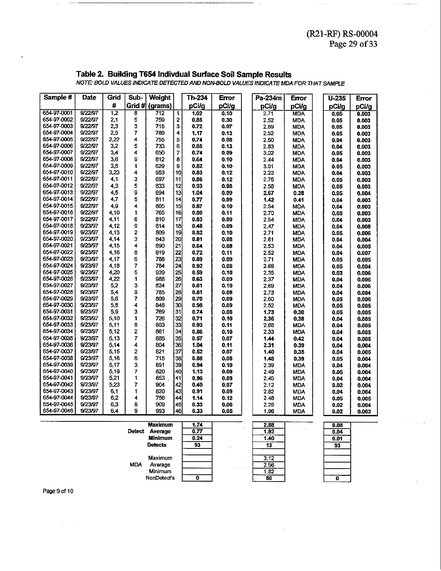$\sim$  .  $\sim$ 

## Table 2. Building T654 Indivdual Surface Soil Sample Results<br>NOTE: BOLD VALUES INDICATE DETECTED AND NON-BOLD VALUES INDICATE MDA FOR THAT SAMPLE

| Sample #    | Date    | Grid             | Sub-           | <b>Weight</b>  |                         | Th 234 | Error | Pa-234m | <b>Error</b> | $U-235$ | Error |
|-------------|---------|------------------|----------------|----------------|-------------------------|--------|-------|---------|--------------|---------|-------|
|             |         | #                |                | Grid # (grams) |                         | pCi/g  | pCi/g | pCi/g   | pCi/g        | pCi/q   | pCi/g |
| 654-97-0001 | 9/22/97 | $\overline{1,2}$ | 8              | 712            | $\overline{\mathbf{1}}$ | 1.02   | 0.10  | 2.71    | <b>MDA</b>   | 0.05    | 0.003 |
| 654-97-0002 | 9/22/97 | 2,1              | 5              | 759            | $\overline{\mathbf{c}}$ | 0.85   | 0.30  | 2.52    | <b>MDA</b>   | 0.05    | 0.003 |
| 654-97-0003 | 9/22/97 | 2,3              | 3              | 715            | 3                       | 0.72   | 0.07  | 2.69    | <b>MDA</b>   | 0.05    | 0.003 |
| 654-97-0004 | 9/22/97 | 2,5              | 7              | 789            | 4                       | 1.17   | 0.13  | 2.52    | <b>MDA</b>   | 0.05    | 0.003 |
| 654-97-0005 | 9/22/97 | 2,22             | 4              | 755            | 5                       | 0.74   | 0.08  | 2.50    | <b>MDA</b>   | 0.04    | 0.003 |
| 654-97-0006 | 9/22/97 | 3,2              | 5              | 733            | 6                       | 0.85   | 0.13  | 2.83    | <b>MDA</b>   | 0.04    | 0.003 |
| 654-97-0007 | 9/22/97 | 3,4              | 4              | 650            | $\overline{z}$          | 0.74   | 0.09  | 3.02    | <b>MDA</b>   | 0.05    | 0.003 |
| 654-97-0008 | 9/22/97 | 3,6              | 9              | 812            | 8                       | 0.64   | 0.10  | 2.44    | <b>MDA</b>   | 0.04    | 0.003 |
| 654-97-0009 | 9/22/97 | 3,8              | 1              | 629            | 9                       | 0.82   | 0.10  | 3.01    | <b>MDA</b>   | 0.05    | 0.003 |
| 654-97-0010 | 9/22/97 | 3,23             | 4              | 953            | 10 <sup>1</sup>         | 0.83   | 0.12  | 2.23    | <b>MDA</b>   | 0.04    | 0.003 |
| 654-97-0011 | 9/22/97 | 4,1              | 3              | 697            | 11                      | 0.86   | 0.12  | 2.76    | <b>MDA</b>   | 0.05    | 0.003 |
| 654-97-0012 | 9/22/97 | 4,3              | 5              | 833            | 12                      | 0.93   | 0.08  | 2.58    | <b>MDA</b>   | 0.05    | 0.003 |
| 654-97-0013 | 9/22/97 | 4,5              | 9              | 694            | 13                      | 1.04   | 0.09  | 2.67    | 0.38         | 0.05    | 0.004 |
| 654-97-0014 | 9/22/97 | 4,7              | 5              | 811            | 14                      | 0.77   | 0.09  | 1.42    | 0.41         | 0.04    | 0.003 |
| 654-97-0015 | 9/22/97 | 4,9              | 4              | 805            | 15                      | 0.87   | 0.10  | 2.54    | <b>MDA</b>   | 0.04    | 0.003 |
| 654-97-0016 | 9/22/97 | 4,10             | 1              | 765            | 16                      | 0.80   | 0.11  | 2.70    | <b>MDA</b>   | 0.05    | 0.003 |
| 654-97-0017 | 9/22/97 | 4.11             | 6              | 810            | 17                      | 0.83   | 0.09  | 2.54    | <b>MDA</b>   | 0.04    | 0.003 |
| 654-97-0018 | 9/23/97 | 4,12             | 9              | 814            | 18                      | 0.48   | 0.09  | 2.47    | <b>MDA</b>   | 0.04    | 0.008 |
| 654-97-0019 | 9/23/97 | 4,13             | 2              | 809            | 19                      | 0.82   | 0.10  | 2.71    | <b>MDA</b>   | 0.05    | 0.006 |
| 654-97-0020 | 9/23/97 | 4,14             | 3              | 843            | 20                      | 0.81   | 0.08  | 2.61    | <b>MDA</b>   | 0.04    | 0.004 |
| 654-97-0021 | 9/23/97 | 4,15             | 4              | 890            | 21                      | 0.64   | 0.08  | 2.53    | <b>MDA</b>   | 0.04    | 0.005 |
| 654 97 0022 | 9/23/97 | 4.16             | 8              | 819            | 22                      | 0.72   | 0.11  | 2.52    | <b>MDA</b>   | 0.04    | 0.007 |
| 654-97-0023 | 9/23/97 | 4,17             | 6              | 788            | 23                      | 0.89   | 0.09  | 2,71    | <b>MDA</b>   | 0.05    | 0.005 |
| 654 97 0024 | 9/23/97 | 4,18             | $\overline{7}$ | 784            | 24                      | 0.92   | 0.03  | 2.66    | <b>MDA</b>   | 0.05    | 0.004 |
| 654 97 0025 | 9/23/97 | 4,20             | 5              | 939            | 25                      | 0.59   | 0.10  | 2.35    | <b>MDA</b>   | 0.03    | 0.006 |
| 654-97-0026 | 9/23/97 | 4,22             | 1              | 988            | 26                      | 0.63   | 0.09  | 2.37    | <b>MDA</b>   | 0.04    | 0.006 |
| 654-97-0027 | 9/23/97 | 5,2              | 3              | 824            | 27                      | 0.61   | 0.10  | 2.69    | <b>MDA</b>   | 0.04    | 0.006 |
| 654-97-0028 | 9/23/97 | 5.4              | 9              | 785            | 28                      | 0.81   | 0.08  | 2.73    | <b>MDA</b>   | 0.04    | 0.004 |
| 654-97-0029 | 9/23/97 | 5,6              | $\overline{7}$ | 809            | 29                      | 0.70   | 0.09  | 2.60    | <b>MDA</b>   | 0.05    | 0.006 |
| 654-97-0030 | 9/23/97 | 5,8              | 4              | 848            | 30                      | 0.98   | 0.09  | 2.52    | <b>MDA</b>   | 0.05    | 0.005 |
| 654-97-0031 | 9/23/97 | 5,9              | 3              | 769            | 31                      | 0.74   | 0.08  | 1.73    | 0.30         | 0.05    | 0.005 |
| 654-97-0032 | 9/23/97 | 5,10             | 1              | 726            | 32                      | 0.71   | 0.10  | 2.36    | 0.38         | 0.04    | 0.005 |
| 654-97-0033 | 9/23/97 | 5,11             | 8              | 803            | 33                      | 0.93   | 0.11  | 2.68    | <b>MDA</b>   | 0.04    | 0.005 |
| 654-97-0034 | 9/23/97 | 5,12             | 2              | 861            | 34                      | 0.86   | 0.10  | 2.33    | <b>MDA</b>   | 0.04    | 0.005 |
| 654-97-0035 | 9/23/97 | 5,13             | 7              | 885            | 35                      | 0.57   | 0.07  | 1.44    | 0.42         | 0.04    | 0.005 |
| 654-97-0036 | 9/23/97 | 5.14             | 4              | 804            | 36                      | 1.04   | 0,11  | 2.31    | 0.39         | 0.04    | 0.004 |
| 654-97-0037 | 9/23/97 | 5,15             | 2              | 821            | 37                      | 0.52   | 0.07  | 1.40    | 0.35         | 0.04    | 0.005 |
| 654-97-0038 | 9/23/97 | 5.16             | 6              | 715            | 38                      | 0.88   | 0.08  | 1.48    | 0.39         | 0.05    | 0.004 |
| 654-97-0039 | 9/23/97 | 5.17             | 3              | 891            | 39                      | 0.94   | 0.10  | 2.39    | <b>MDA</b>   | 0.04    | 0.004 |
| 654-97-0040 | 9/23/97 | 5.19             | 7              | 820            | 40                      | 1.13   | 0.09  | 2.49    | <b>MDA</b>   | 0.05    | 0.004 |
| 654-97-0041 | 9/23/97 | 5,21             | 1              | 853            | 41                      | 0.96   | 0.09  | 2.45    | <b>MDA</b>   | 0.04    | 0.004 |
| 654-97-0042 | 9/23/97 | 5,23             | 7              | 904            | 42                      | 0.40   | 0.07  | 2.12    | <b>MDA</b>   | 0.02    | 0.004 |
| 654-97-0043 | 9/23/97 | 6,1              | 1              | 820            | 43                      | 0.91   | 0.09  | 2.82    | <b>MDA</b>   | 0.04    | 0.004 |
| 654-97-0044 | 9/23/97 | 6,2              | 4              | 756            | 44                      | 1.14   | 0.12  | 2.48    | <b>MDA</b>   | 0.05    | 0.005 |
| 654-97-0045 | 9/23/97 | 6.3              | 8              | 909            | 45                      | 0.33   | 0.06  | 2.25    | MDA          | 0.02    | 0.004 |
| 654-97-0046 | 9/23/97 | 6.4              | 9              | 993            | 46                      | 0.33   | 0.05  | 1.96    | <b>MDA</b>   | 0.02    | 0.003 |

|               | <b>Maximum</b> | 1.74 |                | 2.88 | 0.08 |
|---------------|----------------|------|----------------|------|------|
| <b>Detect</b> | Average        | 0.77 |                | 1.92 | 0.04 |
|               | <b>Minimum</b> | 0.24 |                | 1.40 | 0.01 |
|               | <b>Detects</b> | 93   |                | 13   | 93   |
|               | Maximum        |      |                | 3.12 |      |
| <b>MDA</b>    | Average        |      | . .            | 2.56 |      |
|               | Minimum        |      | <b>Service</b> | 1.82 |      |
|               | NonDetect's    |      |                | 80   | o    |

Page 9 of 10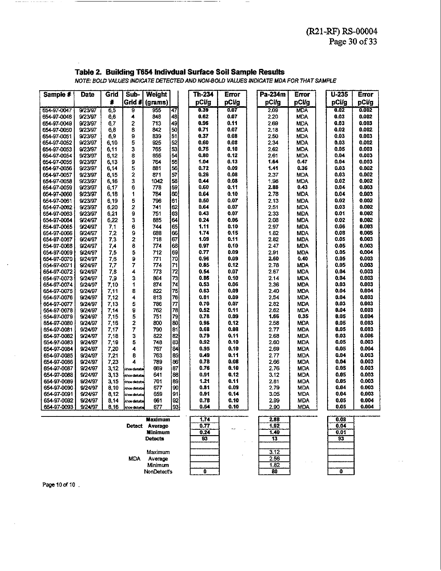#### **Table 2. Buikling** T654 **lndivdual Surface Soil Sample Results**

|                            |                    |              |                       |                |           |                                                                                      |              |              |                          |              | Page 30 of 33  |
|----------------------------|--------------------|--------------|-----------------------|----------------|-----------|--------------------------------------------------------------------------------------|--------------|--------------|--------------------------|--------------|----------------|
|                            |                    |              |                       |                |           |                                                                                      |              |              |                          |              |                |
|                            |                    |              |                       |                |           |                                                                                      |              |              |                          |              |                |
|                            |                    |              |                       |                |           |                                                                                      |              |              |                          |              |                |
|                            |                    |              |                       |                |           | Table 2. Building T654 Indivdual Surface Soil Sample Results                         |              |              |                          |              |                |
|                            |                    |              |                       |                |           | NOTE: BOLD VALUES INDICATE DETECTED AND NON-BOLD VALUES INDICATE MDA FOR THAT SAMPLE |              |              |                          |              |                |
|                            |                    |              |                       |                |           |                                                                                      |              |              |                          |              |                |
| Sample #                   | Date               | Grid         | Sub-                  | <b>Weight</b>  |           | Th-234                                                                               | Error        | Pa-234m      | Error                    | $U - 235$    | Error          |
|                            |                    | 蒼            | Grid #                | (grams)        |           | pCi/g                                                                                | pCi/g        | pCi/g        | pCi/g                    | pCi/g        | pCi/g          |
| 654-97-0047                | 9/23/97            | 65           | 9                     | 955            | 47        | 0.39                                                                                 | 007          | 2.09         | <b>MDA</b>               | 0.02         | 0.002          |
| 654-97-0048                | 9/23/97            | 6,6          | 4                     | 848            | 48        | 0.62                                                                                 | 0.07         | 2.20         | MDA                      | 0.03         | 0.002          |
| 654-97-0049                | 9/23/97            | 67           | 2                     | 713<br>842     | 49<br>50  | 0.96<br>0.71                                                                         | 0.11<br>0.07 | 2.69         | <b>MDA</b>               | 0.03<br>0.02 | 0.003<br>0.002 |
| 654 97 0050<br>654-97-0051 | 9/23/97<br>9/23/97 | 6,8<br>6,9   | 8<br>9                | 839            | 51        | 0.37                                                                                 | 0.08         | 2.18<br>2.50 | <b>MDA</b><br><b>MDA</b> | 0.03         | 0.003          |
| 654-97-0052                | 9/23/97            | 6,10         | 5                     | 925            | 52        | 0.60                                                                                 | 0.08         | 2.34         | <b>MDA</b>               | 0.03         | 0.002          |
| 654 97 0053                | 9/23/97            | 6.11         | 3                     | 765            | 53        | 0.75                                                                                 | 0.10         | 2,62         | <b>MDA</b>               | 0.05         | 0.003          |
| 654 97 0054                | 9/23/97            | 6,12         | 8                     | 855            | 54        | 0.80                                                                                 | 0.12         | 2.61         | <b>MDA</b>               | 0.04         | 0.003          |
| 054 97 0055                | 9/23/07            | 6.13         | 9                     | 764            | 55        | 1.04                                                                                 | 0.13         | 1.64         | 0.47                     | 0.04         | 0.003          |
| 654 97 0056                | 9/23/97            | 6,14         | 5                     | 861            | 56        | 0.72                                                                                 | 0.09         | 1.41         | 0.36                     | 0.03         | 0.002          |
| 654-97-0057                | 9/23/97            | 6,15         | 2                     | 871            | 57        | 0.26                                                                                 | 0.08         | 2.37         | MDA                      | 0.03         | 0.002          |
| 654-97-0058                | 9/23/97            | 6,16         | 3                     | 1042           | 58        | 0, 44                                                                                | 0.08         | 1.98         | MDA                      | 0.02         | 0.002          |
| 654 97 0059                | 9/23/97            | 6,17         | 6                     | 778            | 59        | 0.60                                                                                 | 0.11         | 2.88         | 0.43                     | 0.04         | 0.003          |
| 654-97-0060                | 9/23/97            | 6,18         | 1                     | 784            | 60        | 0.64                                                                                 | 0.10         | 2.78         | <b>MDA</b>               | 0.04         | 0.003          |
| 654-97-0061                | 9/23/97            | 6,19         | 5                     | 706            | 61        | 8.50                                                                                 | 0.07         | 2.13         | mda                      | 0.02         | 0.002          |
| 654-97-0062                | 9/23/97            | 6,20         | 2                     | 741            | 62        | 0.64                                                                                 | 0.07         | 2,51         | MDA.                     | 0.03         | 0.002          |
| 654 97 0063                | 9/23/97            | 6,21         | 9                     | 751            | 63<br>64  | 0.43                                                                                 | 0.07         | 2.33<br>2.03 | MDA                      | 0.01         | 0.002<br>0.002 |
| 654-97-0064<br>654-97-0065 | 9/24/97<br>9/24/97 | 6.22<br>7,1  | 3<br>6                | 885<br>744     | 65        | 0.24<br>1.11                                                                         | 0.06<br>0.10 | 2,97         | MDA<br>MDA               | 0.02<br>0.06 | 0.003          |
| 654 97 0066                | 9/24/97            | 72           | 9                     | 688            | 66        | 1.74                                                                                 | 0.15         | 1.82         | MDA                      | 0.08         | 0.005          |
| 654-97-0067                | 9/24/97            | 73           | 2                     | 718            | 67        | 1.09                                                                                 | 0.11         | 2.82         | MDA                      | 0.05         | 0.003          |
| 654-97-0068                | 9/24/97            | 74           | 8                     | 774            | 68        | 0.97                                                                                 | 0.10         | 2.47         | MDA                      | 0.05         | 0.003          |
| 654-97-0069                | 9/24/97            | 7,5          | 5                     | 712            | 69        | 0.77                                                                                 | 0.09         | 2.91         | MDA                      | 0.05         | 0,004          |
| 654-97-0070                | 9/24/97            | 7,6          | 9                     | 771            | 70        | 0.96                                                                                 | 0.09         | 2.60         | 0.40                     | 0.05         | 0.003          |
| 654-97-0071                | 9/24/97            | 7,7          | 7                     | 774            | 71        | 0.85                                                                                 | 0.12         | 2.78         | MDA                      | 0.05         | 0.003          |
| 654-97-0072                | 9/24/97            | 7,8          | 4                     | 773            | 72        | 0.54                                                                                 | 0.07         | 2,67         | MDA                      | 0.04         | 0.003          |
| 654-97-0073                | 9/24/97            | 7,9          | 3                     | 864            | 73        | 0.86                                                                                 | 0.10         | 2.14         | MDA                      | 0.04         | 0.003          |
| 654-97-0074                | 9/24/97            | 7,10         | 1                     | 874            | 74        | 0,53                                                                                 | 0.06         | 2.36         | <b>MDA</b>               | 0.03         | 0.003          |
| 654-97-0075                | 9/24/97            | 7.11         | 8                     | 822            | 75        | 0.63                                                                                 | 0.09         | 2.40         | MDA                      | 0.04         | 0.004          |
| 654-97-0076                | 9/24/97            | 7,12         | 4                     | 813            | 76        | 0.81                                                                                 | 0.09         | 2.54         | MDA                      | 0.04         | 0.003          |
| 654-97-0077                | 9/24/97            | 7,13         | 5                     | 786            | 77        | 0.70                                                                                 | 0.07         | 2.82         | MDA                      | 0.03         | 0.003          |
| 654-97-0078<br>654-97-0079 | 9/24/97<br>9/24/97 | 7 14<br>7,15 | 9<br>5                | 762<br>751     | 78<br>79  | 0.52<br>0.78                                                                         | 0.11<br>0.09 | 2.62<br>1.66 | MDA<br>0.35              | 0.04<br>0.05 | 0.003<br>0.004 |
| 654-97-0080                | 9/24/97            | 716          | 2                     | 800            | 80        | 0.96                                                                                 | 0.12         | 2.58         | MOA                      | 0.05         | 0.003          |
| 654-97-0081                | 9/24/97            | 7.17         | 7                     | 790            | 81        | 0.68                                                                                 | 0.08         | 2.77         | <b>MDA</b>               | 0.05         | 0.003          |
| 654-97-0082                | 9/24/97            | 7.18         | 3                     | 822            | 82        | 0.79                                                                                 | 0.11         | 2.68         | <b>MDA</b>               | 0.03         | 0.006          |
| 654-97-0083                | 9/24/97            | 7 19         | 5                     | 748            | 83        | 0.92                                                                                 | 0.10         | 2.60         | MDA                      | 0.05         | 0.003          |
| 654-97-0084                | 9/24/97            | 7 20         | 4                     | 767            | 84        | 0.95                                                                                 | 0.10         | 2.69         | <b>MDA</b>               | 0.05         | 0.004          |
| 654-97-0085                | 9/24/97            | 7,21         | 8                     | 763            | 85        | 0.49                                                                                 | 0.11         | 2.77         | MDA                      | 0.04         | 0.003          |
| 654-97-0086                | 9/24/97            | 7 23         | 4                     | 789            | <b>B6</b> | 0.78                                                                                 | 0.08         | 2.66         | <b>MDA</b>               | 0.D4         | 0.003          |
| 654-97-0087                | 9/24/97            | 3,12         | tion datube           | 669            | 87        | 0.76                                                                                 | 0.10         | 2.76         | <b>MDA</b>               | 0.05         | 0.003          |
| 654-97-0088                | 9/24/97            | 3,13         | sidne datuba          | 641            | 88        | 0.91                                                                                 | 0.12         | 3.12         | <b>MDA</b>               | 0.05         | 0.003          |
| 654-97-0089                | 9/24/97            | 3.15         | Hope distute          | 701            | 89        | 1.21                                                                                 | 0.11         | 2.81         | <b>MDA</b>               | 0.05         | 0.003          |
| 654-97-0090                | 9/24/97            | 8.10         | <b>Ekhoe distutos</b> | 677            | 90        | 0.81                                                                                 | 0.09         | 2.79         | <b>MDA</b>               | 0.04         | 0.003          |
| 654-97-0091                | 9/24/97            | 8.12         | <b>Ekhoe disturba</b> | 659            | 91        | 0.91                                                                                 | 0.14         | 3.05         | <b>MDA</b>               | 0.04         | 0.003          |
| 654-97-0092                | 9/24/97            | 8,14         | :khoe disturbe        | 661            | 92        | 6.78                                                                                 | 0.10         | 2.99         | <b>MDA</b>               | 0.05         | 0.004          |
| 654-97-0093                | 9/24/97            | 8.16         | khoe distutte         | 677            | 93        | 0.54                                                                                 | 0.10         | 2.90         | <b>MDA</b>               | 0.05         | 0.004          |
|                            |                    |              |                       | Maximum        |           | 1.74                                                                                 |              | 2.88         |                          | 0.08         |                |
|                            |                    |              |                       | Detect Average |           | 0.77                                                                                 |              | 1.92         |                          | 0.04         |                |

|            | Maximum            | 1.74 | 2.88 | 0.08 |  |
|------------|--------------------|------|------|------|--|
| Dotect     | Average            | 0.77 | 1.92 | 0.04 |  |
|            | <b>Minimum</b>     | 0.24 | 1.40 | 0.01 |  |
|            | Detects            | 93   |      | 93   |  |
|            | Maximum            |      | 3.12 |      |  |
| <b>MDA</b> | Average            |      | 2.56 |      |  |
|            | Minimum            |      | 1.82 |      |  |
|            | <b>NonDetect's</b> |      | 80   |      |  |

Page 10 of 10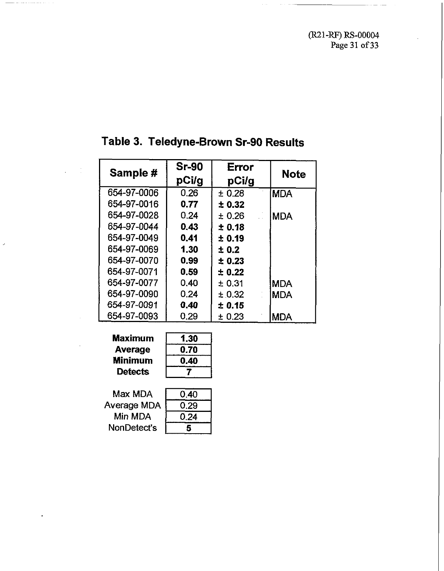(R21-RF) RS-00004 **Page 31 of 33** 

| Sample #    | <b>Sr-90</b> | Error  |             |
|-------------|--------------|--------|-------------|
|             | pCi/g        | pCi/g  | <b>Note</b> |
| 654-97-0006 | 0.26         | ± 0.28 | <b>MDA</b>  |
| 654-97-0016 | 0.77         | ± 0.32 |             |
| 654-97-0028 | 0.24         | ± 0.26 | IMDA        |
| 654-97-0044 | 0.43         | ± 0.18 |             |
| 654-97-0049 | 0.41         | ± 0.19 |             |
| 654-97-0069 | 1.30         | ± 0.2  |             |
| 654-97-0070 | 0.99         | ± 0.23 |             |
| 654-97-0071 | 0.59         | ± 0.22 |             |
| 654-97-0077 | 0.40         | ±0.31  | <b>MDA</b>  |
| 654-97-0090 | 0.24         | ± 0.32 | <b>MDA</b>  |
| 654-97-0091 | 0.40         | ± 0.15 |             |
| 654-97-0093 | 0.29         | ± 0.23 | <b>MDA</b>  |

## **Table 3. Teledyne-Brown Sr-90 Results**

| <b>Maximum</b> | 1.30 |
|----------------|------|
| Average        | 0.70 |
| <b>Minimum</b> |      |
| <b>Detects</b> |      |

Max MDA Average MDA Min MDA NonDetect's

| 0.40 |  |
|------|--|
| 0.29 |  |
| 0.24 |  |
| 5    |  |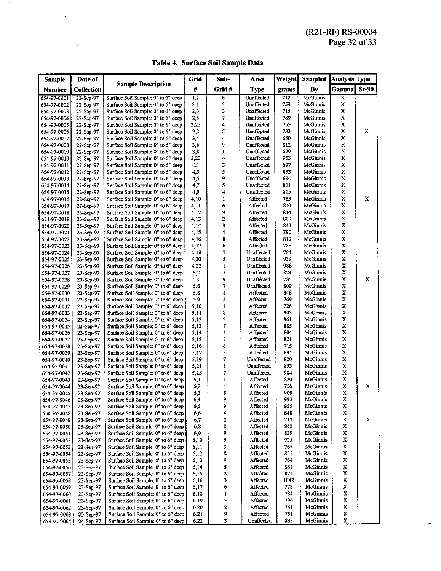| Table 4. Surface Soil Sample Data |  |
|-----------------------------------|--|
|-----------------------------------|--|

|                            |                        |                                                                          |              |                   |                          |            |                      | (R21-RF) RS-00004       |         |
|----------------------------|------------------------|--------------------------------------------------------------------------|--------------|-------------------|--------------------------|------------|----------------------|-------------------------|---------|
|                            |                        |                                                                          |              |                   |                          |            |                      | Page 32 of 33           |         |
|                            |                        |                                                                          |              |                   |                          |            |                      |                         |         |
|                            |                        | Table 4. Surface Soil Sample Data                                        |              |                   |                          |            |                      |                         |         |
|                            |                        |                                                                          |              |                   |                          |            |                      |                         |         |
| Sample                     | Date of                |                                                                          | Grid         | Sub-              | Area                     | Weight     | Sampled              | <b>Analysis Type</b>    |         |
| Number                     | Collection             | <b>Sample Description</b>                                                | ₩            | Grid#             | Type                     | grams      | <b>By</b>            | Gamma                   | $Sr-90$ |
| 654-97-0001                | 22-Sep-97              | Surface Soil Sample: 0" to 6" deep                                       | 1,2          | 8                 | <b>Unaffected</b>        | 712        | <b>McGinnis</b>      | $\overline{\mathbf{x}}$ |         |
| 654-97-0002                | 22-Sep-97              | Surface Soil Sample: 0" to 6" deep                                       | 2,1          | 5                 | Unaffected               | 759        | McGinnis             | X                       |         |
| 654-97-0003                | 22-Sep-97              | Surface Soil Sample: 0" to 6" deep                                       | 2,3          | 3                 | Unaffected               | 715        | McGinnis             | X                       |         |
| 654-97-0004<br>654-97-0005 | 22-Sep-97<br>22-Sep-97 | Surface Soil Sample: 0" to 6" deep<br>Surface Soil Sample: 0" to 6" deep | 2,5<br>2,22  | 7<br>4            | Unaffected<br>Unaffected | 789<br>755 | McGinnis<br>McGinnis | X<br>Х                  |         |
| 654-97-0006                | 22-Sep-97              | Surface Soil Sample: 0" to 6" deep                                       | 3,2          | 5                 | Unaffected               | 733        | McGinnis             | X                       | x       |
| 654-97-0007                | 22-Sep-97              | Surface Soil Sample: 0" to 6" deep                                       | 3,4          | 4                 | Unaffected               | 650        | McGinnis             | X                       |         |
| 654-97-0008                | 22-Sep-97              | Surface Soil Sample: 0" to 6" deep                                       | 3,6          | 9                 | Unaffected               | 8.2<br>629 | McGinnis             | X<br>X                  |         |
| 654-97-0009<br>654-97-0010 | 22-Sep-97<br>22-Sep-97 | Surface Soil Sample: 0" to 6" deep<br>Surface Soil Sample: 0" to 6" deep | 3,8<br>3,23  | ı<br>4            | Unaffected<br>Unaffected | 953        | McGmnis<br>McGinnis  | X                       |         |
| 654-97-0011                | 22-Sep-97              | Surface Soil Sample: 0" to 6" deep                                       | 4,1          | 3                 | Unaffected               | 697        | McGinnis             | X                       |         |
| 654-97-0012                | 22-Sep-97              | Surface Soil Sample: 0" to 6" deep                                       | 4,3          | 5                 | Unaffected               | 833        | McGinnis             | X                       |         |
| 654-97-0013<br>654-97-0014 | 22-Sep-97<br>22-Sep-97 | Surface Soil Sample: 0" to 6" deep<br>Surface Soil Sample: 0" to 6" deep | 4,5<br>4,7   | 9<br>5            | Unaffected<br>Unaffected | 694<br>811 | McGinnis<br>McGinnis | X<br>X                  |         |
| 654-97-0015                | 22-Sep-97              | Surface Soil Sample: 0" to 6" deep                                       | 4,9          | 4                 | Unaffected               | 805        | McGinnis             | x                       |         |
| 654-97-0016                | 22-Sep-97              | Surface Soil Sample: 0" to 6" deep                                       | 4,10         | 1                 | Affected                 | 765        | McGinnis             | $\mathbf x$             | x       |
| 654-97-0017                | 22-Sep-97              | Surface Soil Sample: 0" to 6" deep                                       | 4,11         | 6                 | Affected                 | 810        | McGinnis             | X                       |         |
| 654-97-0018<br>654-97-0019 | 23-Sep-97<br>23-Sep-97 | Surface Soil Sample: 0" to 6" deep<br>Surface Soil Sample: 0" to 6" deep | 4,12<br>4,13 | 9<br>2            | Affected<br>Affected     | 814<br>809 | McGinnis<br>McGinnis | χ<br>х                  |         |
| 654-97-0020                | 23-Sep-97              | Surface Soil Sample: 0" to 6" deep                                       | 4,14         | 3                 | Affected                 | 843        | McGinnis             | x                       |         |
| 654-97-0021                | 23-Sep-97              | Surface Soil Sample: 0" to 6" deep                                       | 4,15         | 4                 | Affected                 | 890        | McGinnis             | x                       |         |
| 654-97-0022                | 23-Sep-97              | Surface Soil Sample: 0" to 6" deep                                       | 4,16         | 8                 | Affected                 | 819        | McGinnis             | X<br>Х                  |         |
| 654-97-0023<br>654-97-0024 | 23-Sep-97<br>23-Sep-97 | Surface Soil Sample: 0" to 6" deep<br>Surface Soil Sample: 0" to 6" deep | 4,17<br>4,18 | 6<br>7            | Affected<br>Unaffected   | 788<br>784 | McGinnis<br>McGinnis | X                       |         |
| 654-97-0025                | 23-Sep-97              | Surface Soil Sample: 0" to 6" deep                                       | 4,20         | 5                 | Unaffected               | 939        | McGinnis             | X                       |         |
| 654-97-0026                | 23-Sep-97              | Surface Soil Sample: 0" to 6" deep                                       | 4,22         | 1                 | Unaffected               | 938        | <b>McGinnis</b>      | X                       |         |
| 654-97-0027                | 23-Sep-97              | Surface Soil Sample: 0" to 6" deep                                       | 5,2          | 3<br>9            | Unaffected<br>Unaffected | 824<br>735 | McGinnis<br>McGinnis | Χ<br>X                  | x       |
| 654-97-0028<br>654-97-0029 | 23-Sep-97<br>23-Sep-97 | Surface Soil Sample: 0" to 6" deep<br>Surface Soil Sample: 0" to 6" deep | 5,4<br>5,6   | 7                 | Unaffected               | 809        | McGinnis             | X                       |         |
| 654-97-0030                | 23-Sep-97              | Surface Soil Sample: 0" to 6" deep                                       | 5,8          | 4                 | Affected                 | 848        | McGinnis             | X                       |         |
| 654-97-0031                | 23-Sep-97              | Surface Soil Sample: 0" to 6" deep                                       | 5,9          | 3                 | Affected                 | 769        | McGinnis             | X                       |         |
| 654-97-0032<br>654-97-0033 | 23-Sep-97<br>23-Sep-97 | Surface Soil Sample: 0" to 6" deep<br>Surface Soil Sample, 0" to 6" deep | 5,10<br>5,11 | 1<br>8            | Affected<br>Affected     | 726<br>803 | McGinnis<br>McGinnis | Х<br>х                  |         |
| 654-97-0034                | 23-Sep-97              | Surface Soil Sample: 0" to 6" deep                                       | 5,12         | 2                 | Affected                 | 861        | McGinnis             | X                       |         |
| 654-97-0035                | 23-Sep-97              | Surface Soil Sample: 0" to 6" deep                                       | 5,13         | 7                 | Affected                 | 835        | McGinnis             | X                       |         |
| 654-97-0036                | 23-Sep-97              | Surface Soil Sample: 0" to 6" deep                                       | 5,14         | 4                 | Affected<br>Affected     | 804<br>821 | McGinnis<br>McGinnis | X<br>X                  |         |
| 654-97-0037<br>654-97-0038 | 23-Sep-97<br>23-Sep-97 | Surface Soil Sample: 0" to 6" deep<br>Surface Soil Sample: 0" to 6" deep | 5,15<br>5,16 | 2<br>6            | Affected                 | 715        | McGinnis             | x                       |         |
| 654-97-0039                | 23-Sep-97              | Surface Soil Sample: 0" to 6" deep                                       | 5,17         | 3                 | Affected                 | 891        | McGinnis             | $\mathbf X$             |         |
| 654-97-0040                | 23-Sep-97              | Surface Soil Sample: 0" to 6" deep                                       | 5,19         | 7                 | Unaffected               | 820        | McGinnis             | Х                       |         |
| 654-97-0041<br>654-97-0042 | 23-Sep-97<br>23-Sep-97 | Surface Soil Sample: 0" to 6" deep<br>Surface Soil Sample: 0" to 6" deep | 5,21<br>5,23 | $\mathbf{1}$<br>7 | Unaffected<br>Unaffected | 853<br>904 | McGinnis<br>McGinnis | x<br>$\mathbf x$        |         |
| 654-97-0043                | 23-Sep-97              | Surface Soil Sample: 0" to 6" deep                                       | 6,1          | 1                 | Affected                 | 820        | McGinnis             | x                       |         |
| 654-97-0044                | 23-Sep-97              | Surface Soil Sample: 0" to 6" deep                                       | 6,2          | 4                 | <b>Affected</b>          | 756        | McGinnis             | $\mathbf x$             | x       |
| 654-97-0045                | 23-Sep-97              | Surface Soil Sample: 0" to 6" deep<br>Surface Soil Sample: 0" to 6" deep | 6,3<br>6,4   | 8<br>9            | A ffected<br>Affected    | 909<br>993 | McGinnis<br>McGinnis | х<br>х                  |         |
| 654-97-0046<br>654-97-0047 | 23-Sep-97<br>23-Sep-97 | Surface Soil Sample: 0" to 6" deep                                       | 6,5          | 9                 | Affected                 | 955        | McGinnis             | x                       |         |
| 654-97-0048                | 23-Sep-97              | Surface Soil Sample: 0" to 6" deep                                       | 6,6          | 4                 | Affected                 | 848        | McGinnis             | X                       |         |
| 654-97-0049                | 23-Sep-97              | Surface Soil Sample: 0" to 6" deep                                       | 6,7          | 2                 | Affected                 | 713        | McGinnis             | Χ                       | x       |
| 654-97-0050<br>654-97-0051 | 23-Sep-97<br>23-Sep-97 | Surface Soil Sample: 0" to 6" deep<br>Surface Soil Sample: 0" to 6" deep | 6,8<br>6,9   | 8<br>9            | Affected<br>Affected     | 842<br>839 | McGinnis<br>McGinnis | x<br>X                  |         |
| 654-97-0052                | 23-Sep-97              | Surface Soil Sample: 0" to 6" deep                                       | 6,10         | 5                 | Affected                 | 925        | McGinnis             | χ                       |         |
| 654-97-0053                | 23-Sep-97              | Surface Soil Sample: 0" to 6" deep                                       | 6,11         | 3                 | Affected                 | 765        | McGinnis             | Χ                       |         |
| 654-97-0054                | 23-Sep-97              | Surface Soil Sample: 0" to 6" deep                                       | 6,12         | 8                 | Affected                 | 855        | McGinnis             | X                       |         |
| 654-97-0055<br>654-97-0056 | 23-Sep-97<br>23-Sep-97 | Surface Soil Sample: 0" to 6" deep<br>Surface Soil Sample: 0" to 6" deep | 6,13<br>6,14 | 9<br>5            | Affected<br>Affected     | 764<br>881 | McGinnis<br>McGinnis | X<br>x                  |         |
| 654-97-0057                | 23-Sep-97              | Surface Soil Sample: 0" to 6" deep                                       | 6,15         | 2                 | Affected                 | 871        | McGinnis             | x                       |         |
| 654-97-0058                | 23-Sep-97              | Surface Soil Sample: 0" to 6" deep                                       | 6,16         | 3                 | Affected                 | 1042       | McGinnis             | x                       |         |
| 654-97-0059                | 23-Sep-97              | Surface Soil Sample: 0" to 6" deep                                       | 6,17         | 6                 | Affected                 | 778        | McGinnis             | Χ<br>X                  |         |
| 654-97-0060<br>654-97-0061 | 23-Sep-97<br>23-Sep-97 | Surface Soil Sample: 0" to 6" deep<br>Surface Soil Sample: 0" to 6" deep | 6,18<br>6,19 | I<br>5            | Affected<br>Affected     | 784<br>796 | McGinnis<br>McGinnis | x                       |         |
| 654-97-0062                | 23-Sep-97              | Surface Soil Sample: 0" to 6" deep                                       | 6,20         | $\mathbf 2$       | Affected                 | 741        | McGinnis             | X                       |         |
| 654-97-0063                | 23-Sep-97              | Surface Soil Sample: 0" to 6" deep                                       | 6,21         | 9                 | Affected                 | 751        | McGinnis             | X                       |         |
| 654-97-0064                | 24-Sep-97              | Surface Soil Sample: 0" to 6" deep                                       | 6,22         | 3                 | Unaffected               | 885        | McGinnis             | x                       |         |
|                            |                        |                                                                          |              |                   |                          |            |                      |                         |         |